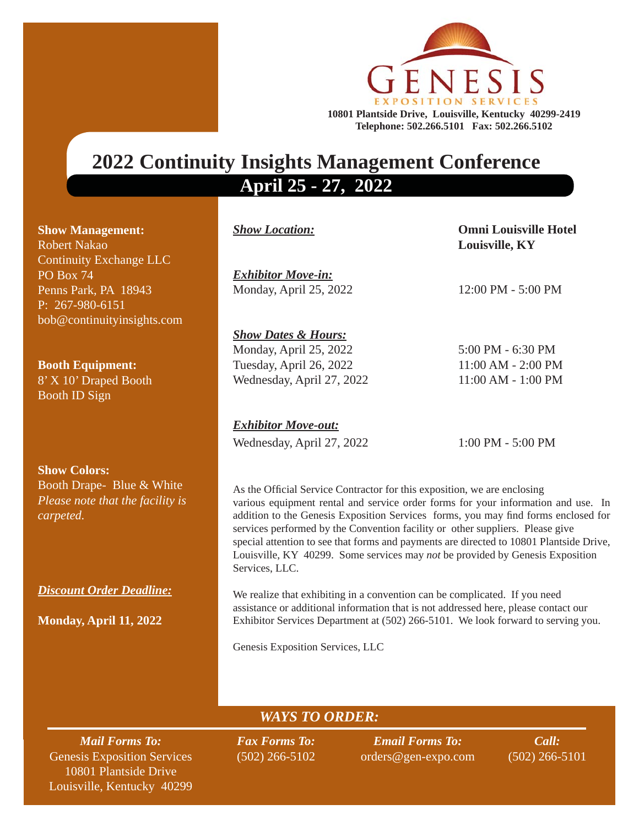

## **2022 Continuity Insights Management Conference April 25 - 27, 2022**

| <b>Show Management:</b>        |
|--------------------------------|
| <b>Robert Nakao</b>            |
| <b>Continuity Exchange LLC</b> |
| $\overline{PO}$ Box 74         |
| Penns Park, PA 18943           |
| P: 267-980-6151                |
| bob@continuityinsights.com     |

**Booth Equipment:** 8' X 10' Draped Booth Booth ID Sign

**Show Colors:** Booth Drape- Blue & White *Please note that the facility is carpeted.* 

*Discount Order Deadline:*

**Monday, April 11, 2022**

*Exhibitor Move-in:*  Monday, April 25, 202212:00 PM - 5:00 PM

*Show Location:* **Omni Louisville Hotel Louisville, KY**

*Show Dates & Hours:* Monday, April 25, 20225:00 PM - 6:30 PM Tuesday, April 26, 2022 11:00 AM - 2:00 PM Wednesday, April 27, 2022 11:00 AM - 1:00 PM

*Exhibitor Move-out:* Wednesday, April 27, 2022 1:00 PM - 5:00 PM

addition to the Genesis Exposition Services forms, you may find forms enclosed for As the Official Service Contractor for this exposition, we are enclosing various equipment rental and service order forms for your information and use. In services performed by the Convention facility or other suppliers. Please give special attention to see that forms and payments are directed to 10801 Plantside Drive, Louisville, KY 40299. Some services may *not* be provided by Genesis Exposition Services, LLC.

We realize that exhibiting in a convention can be complicated. If you need assistance or additional information that is not addressed here, please contact our Exhibitor Services Department at (502) 266-5101. We look forward to serving you.

Genesis Exposition Services, LLC

*WAYS TO ORDER:*

*Mail Forms To:* Genesis Exposition Services 10801 Plantside Drive Louisville, Kentucky 40299 *Fax Forms To:* (502) 266-5102

*Email Forms To:* orders@gen-expo.com

*Call:* (502) 266-5101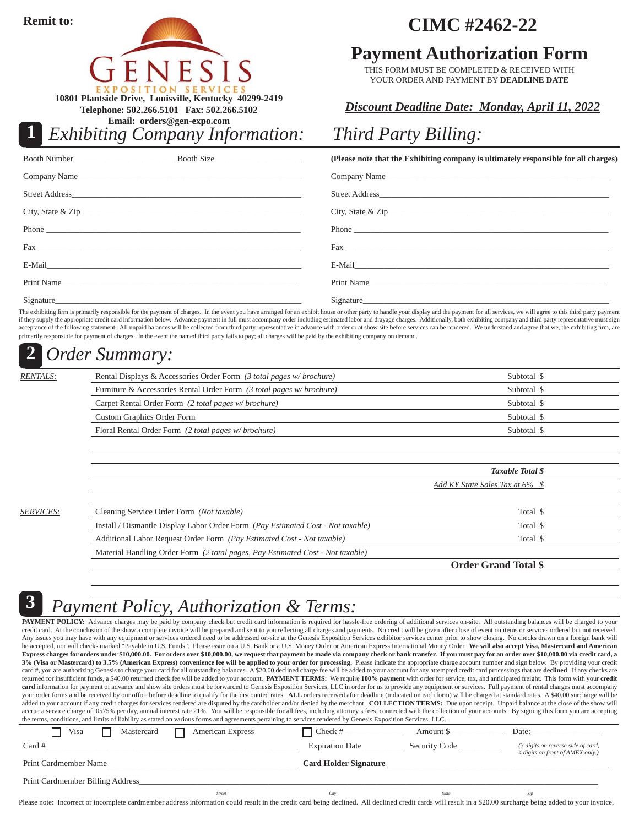**Remit to:**

**1**

**10801 Plantside Drive, Louisville, Kentucky 40299-2419 Telephone: 502.266.5101 Fax: 502.266.5102**

**Email: orders@gen-expo.com**

*Exhibiting Company Information:*

## **CIMC #2462-22**

## **Payment Authorization Form**

THIS FORM MUST BE COMPLETED & RECEIVED WITH YOUR ORDER AND PAYMENT BY **DEADLINE DATE**

## *Discount Deadline Date: Monday, April 11, 2022*

## *Third Party Billing:*

|            | (Please note that the Exhibiting company is ultimately responsible for all charges)                                                                                                                                            |
|------------|--------------------------------------------------------------------------------------------------------------------------------------------------------------------------------------------------------------------------------|
|            |                                                                                                                                                                                                                                |
|            |                                                                                                                                                                                                                                |
|            |                                                                                                                                                                                                                                |
|            |                                                                                                                                                                                                                                |
|            | Fax and the state of the state of the state of the state of the state of the state of the state of the state of the state of the state of the state of the state of the state of the state of the state of the state of the st |
|            |                                                                                                                                                                                                                                |
| Print Name | Print Name                                                                                                                                                                                                                     |
|            | Signature                                                                                                                                                                                                                      |

The exhibiting firm is primarily responsible for the payment of charges. In the event you have arranged for an exhibit house or other party to handle your display and the payment for all services, we will agree to this thi if they supply the appropriate credit card information below. Advance payment in full must accompany order including estimated labor and drayage charges. Additionally, both exhibiting company and third party representative primarily responsible for payment of charges. In the event the named third party fails to pay; all charges will be paid by the exhibiting company on demand.

#### *Order Summary:* **2**

| <i>RENTALS:</i> | Rental Displays & Accessories Order Form (3 total pages w/brochure)  | Subtotal \$ |
|-----------------|----------------------------------------------------------------------|-------------|
|                 | Furniture & Accessories Rental Order Form (3 total pages w/brochure) | Subtotal \$ |
|                 | Carpet Rental Order Form (2 total pages w/ brochure)                 | Subtotal \$ |
|                 | <b>Custom Graphics Order Form</b>                                    | Subtotal \$ |
|                 | Floral Rental Order Form (2 total pages w/brochure)                  | Subtotal \$ |
|                 |                                                                      |             |

|                  |                                                                                 | <b>Taxable Total \$</b>         |  |
|------------------|---------------------------------------------------------------------------------|---------------------------------|--|
|                  |                                                                                 | Add KY State Sales Tax at 6% \$ |  |
|                  |                                                                                 |                                 |  |
| <i>SERVICES:</i> | Cleaning Service Order Form (Not taxable)                                       | Total \$                        |  |
|                  | Install / Dismantle Display Labor Order Form (Pay Estimated Cost - Not taxable) | Total \$                        |  |
|                  | Additional Labor Request Order Form (Pay Estimated Cost - Not taxable)          | Total \$                        |  |
|                  | Material Handling Order Form (2 total pages, Pay Estimated Cost - Not taxable)  |                                 |  |

**Order Grand Total \$**

**3**

## *Payment Policy, Authorization & Terms:*

PAYMENT POLICY: Advance charges may be paid by company check but credit card information is required for hassle-free ordering of additional services on-site. All outstanding balances will be charged to your credit card. At the conclusion of the show a complete invoice will be prepared and sent to you reflecting all charges and payments. No credit will be given after close of event on items or services ordered but not received Any issues you may have with any equipment or services ordered need to be addressed on-site at the Genesis Exposition Services exhibitor services center prior to show closing. No checks drawn on a foreign bank will be accepted, nor will checks marked "Payable in U.S. Funds". Please issue on a U.S. Bank or a U.S. Money Order or American Express International Money Order. We will also accept Visa, Mastercard and American **Express charges for orders under \$10,000.00. For orders over \$10,000.00, we request that payment be made via company check or bank transfer. If you must pay for an order over \$10,000.00 via credit card, a 3% (Visa or Mastercard) to 3.5% (American Express) convenience fee will be applied to your order for processing.** Please indicate the appropriate charge account number and sign below. By providing your credit card #, you are authorizing Genesis to charge your card for all outstanding balances. A \$20.00 declined charge fee will be added to your account for any attempted credit card processings that are declined. If any checks ar returned for insufficient funds, a \$40.00 returned check fee will be added to your account. PAYMENT TERMS: We require 100% payment with order for service, tax, and anticipated freight. This form with your credit card information for payment of advance and show site orders must be forwarded to Genesis Exposition Services, LLC in order for us to provide any equipment or services. Full payment of rental charges must accompany your order forms and be received by our office before deadline to qualify for the discounted rates. ALL orders received after deadline (indicated on each form) will be charged at standard rates. A \$40.00 surcharge will be added to your account if any credit charges for services rendered are disputed by the cardholder and/or denied by the merchant. COLLECTION TERMS: Due upon receipt. Unpaid balance at the close of the show will accrue a service charge of .0575% per day, annual interest rate 21%. You will be responsible for all fees, including attorney's fees, connected with the collection of your accounts. By signing this form you are accepting the terms, conditions, and limits of liability as stated on various forms and agreements pertaining to services rendered by Genesis Exposition Services, LLC.

| Visa<br>Mastercard               | <b>American Express</b> | □ Check #                    | Amount S      | Date:                                                                  |
|----------------------------------|-------------------------|------------------------------|---------------|------------------------------------------------------------------------|
| $Card \#$                        |                         | <b>Expiration Date</b>       | Security Code | (3 digits on reverse side of card,<br>4 digits on front of AMEX only.) |
| Print Cardmember Name            |                         | <b>Card Holder Signature</b> |               |                                                                        |
| Print Cardmember Billing Address |                         |                              |               |                                                                        |
|                                  | <b>Street</b>           | City                         | State         | Zip                                                                    |

Please note: Incorrect or incomplete cardmember address information could result in the credit card being declined. All declined credit cards will result in a \$20.00 surcharge being added to your invoice.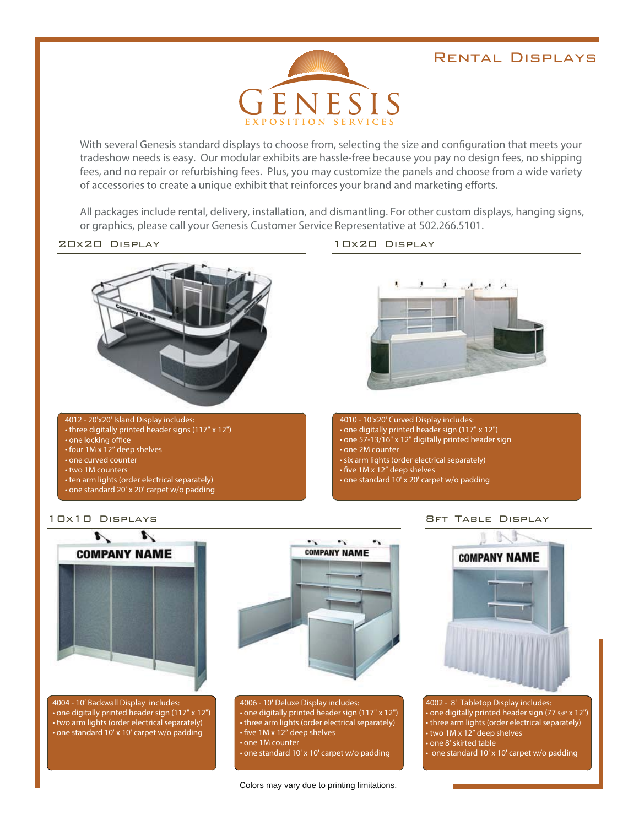#### Rental Displays



With several Genesis standard displays to choose from, selecting the size and configuration that meets your tradeshow needs is easy. Our modular exhibits are hassle-free because you pay no design fees, no shipping fees, and no repair or refurbishing fees. Plus, you may customize the panels and choose from a wide variety of accessories to create a unique exhibit that reinforces your brand and marketing efforts.

All packages include rental, delivery, installation, and dismantling. For other custom displays, hanging signs, or graphics, please call your Genesis Customer Service Representative at 502.266.5101.





#### 4012 - 20'x20' Island Display includes:

- three digitally printed header signs (117" x 12")
- 
- $\cdot$  four 1M x 12" deep shelves
- one curved counter
- two 1M counters
- ten arm lights (order electrical separately)
- one standard 20' x 20' carpet w/o padding



4010 - 10'x20' Curved Display includes:  $\boldsymbol{\cdot}$  one digitally printed header sign (117" x 12") • one 57-13/16" x 12" digitally printed header sign  $\cdot$  one 2M counter • six arm lights (order electrical separately)  $\cdot$  five 1M x 12" deep shelves

• one standard 10' x 20' carpet w/o padding

#### 10x10 Displays





4004 - 10' Backwall Display includes: one digitally printed header sign (117" x 12") • two arm lights (order electrical separately)  $\cdot$  one standard 10' x 10' carpet w/o padding



4006 - 10' Deluxe Display includes: one digitally printed header sign (117" x 12") • three arm lights (order electrical separately)  $\cdot$  five 1M x 12" deep shelves

 $\cdot$  one 1M counter

• one standard 10' x 10' carpet w/o padding





1002 - 8' Tabletop Display includes:  $\bullet$  one digitally printed header sign (77  $\text{\tiny{5/8}}$ " x 12") • three arm lights (order electrical separately)  $\cdot$  two 1M x 12" deep shelves • one 8' skirted table  $\cdot$  one standard 10' x 10' carpet w/o padding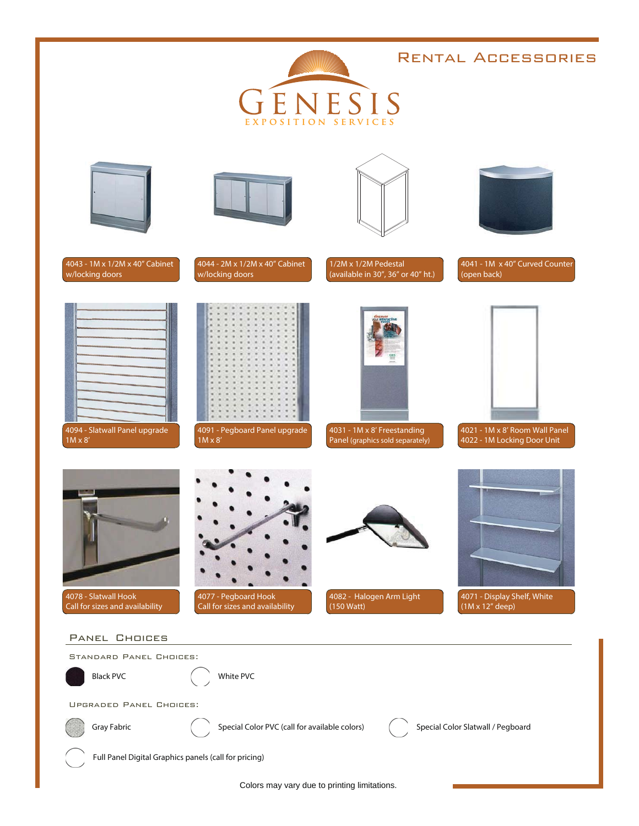## Rental Accessories ENESIS EXPOSITION SERVICES 1/2M x 1/2M Pedestal 4043 - 1M x 1/2M x 40" Cabinet 4044 - 2M x 1/2M x 40" Cabinet 4041 - 1M x 40" Curved Counter w/locking doors w/locking doors (available in 30", 36" or 40" ht.) (open back) 4094 - Slatwall Panel upgrade 4091 - Pegboard Panel upgrade 4031 - 1M x 8' Freestanding 4021 - 1M x 8' Room Wall Panel Panel (graphics sold separately) 1M x 8' 1M x 8' 4022 - 1M Locking Door Unit 4082 - Halogen Arm Light 4071 - Display Shelf, White 4078 - Slatwall Hook 4077 - Pegboard Hook Call for sizes and availability Call for sizes and availability (150 Watt) (1M x 12" deep) Panel Choices Standard Panel Choices: Black PVC  $($  White PVC Upgraded Panel Choices: Gray Fabric **Special Color PVC** (call for available colors) Special Color Slatwall / Pegboard

Full Panel Digital Graphics panels (call for pricing)

Colors may vary due to printing limitations.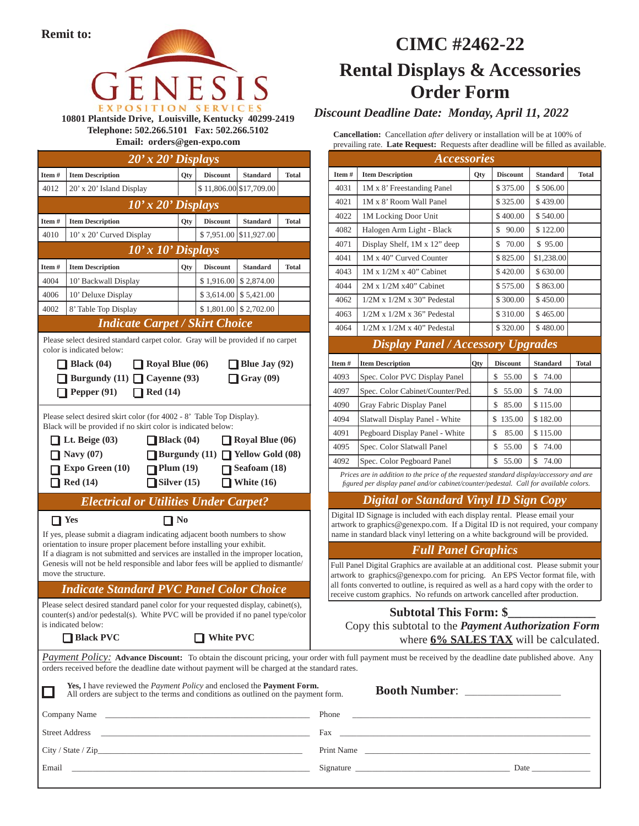

**10801 Plantside Drive, Louisville, Kentucky 40299-2419 Telephone: 502.266.5101 Fax: 502.266.5102 Email: orders@gen-expo.com**

| $20'x20'$ Displays |                                                                                                                                                                                                                                                                                                                                                                     |     |                         |                                                                                                             |              |  |
|--------------------|---------------------------------------------------------------------------------------------------------------------------------------------------------------------------------------------------------------------------------------------------------------------------------------------------------------------------------------------------------------------|-----|-------------------------|-------------------------------------------------------------------------------------------------------------|--------------|--|
| Item#              | <b>Item Description</b>                                                                                                                                                                                                                                                                                                                                             | Qty | <b>Discount</b>         | <b>Standard</b>                                                                                             | Total        |  |
| 4012               | 20' x 20' Island Display                                                                                                                                                                                                                                                                                                                                            |     | \$11,806.00 \$17,709.00 |                                                                                                             |              |  |
|                    | $10'$ x $20'$ Displays                                                                                                                                                                                                                                                                                                                                              |     |                         |                                                                                                             |              |  |
| Item#              | <b>Item Description</b>                                                                                                                                                                                                                                                                                                                                             | Qty | <b>Discount</b>         | <b>Standard</b>                                                                                             | Total        |  |
| 4010               | 10' x 20' Curved Display                                                                                                                                                                                                                                                                                                                                            |     | \$7,951.00              | \$11,927.00                                                                                                 |              |  |
|                    | $10'$ x $10'$ Displays                                                                                                                                                                                                                                                                                                                                              |     |                         |                                                                                                             |              |  |
| Item#              | <b>Item Description</b>                                                                                                                                                                                                                                                                                                                                             | Qty | <b>Discount</b>         | <b>Standard</b>                                                                                             | <b>Total</b> |  |
| 4004               | 10' Backwall Display                                                                                                                                                                                                                                                                                                                                                |     |                         | $$1,916.00 \mid $2,874.00$                                                                                  |              |  |
| 4006               | 10' Deluxe Display                                                                                                                                                                                                                                                                                                                                                  |     |                         | $$3,614.00 \mid $5,421.00$                                                                                  |              |  |
| 4002               | 8' Table Top Display                                                                                                                                                                                                                                                                                                                                                |     |                         | $$1,801.00 \mid $2,702.00$                                                                                  |              |  |
|                    | <b>Indicate Carpet / Skirt Choice</b>                                                                                                                                                                                                                                                                                                                               |     |                         |                                                                                                             |              |  |
|                    | Please select desired standard carpet color. Gray will be provided if no carpet<br>color is indicated below:<br><b>Black</b> $(04)$<br>$\Box$ Royal Blue (06)                                                                                                                                                                                                       |     |                         | <b>Blue Jay (92)</b>                                                                                        |              |  |
|                    | Burgundy (11) $\Box$ Cayenne (93)<br>Red(14)<br><b>Pepper</b> (91)                                                                                                                                                                                                                                                                                                  |     |                         | $\Box$ Gray (09)                                                                                            |              |  |
|                    | Lt. Beige $(03)$<br>Black (04)<br>Navy $(07)$<br>Expo Green (10)<br>$\blacksquare$ Plum (19)<br>Red(14)<br>$\Box$ Silver (15)                                                                                                                                                                                                                                       |     |                         | $\Box$ Royal Blue (06)<br>Burgundy $(11)$ Yellow Gold $(08)$<br>Seafoam $(18)$<br>$\blacksquare$ White (16) |              |  |
|                    | <b>Electrical or Utilities Under Carpet?</b>                                                                                                                                                                                                                                                                                                                        |     |                         |                                                                                                             |              |  |
| $\prod$ Yes        | $\prod$ No<br>If yes, please submit a diagram indicating adjacent booth numbers to show<br>orientation to insure proper placement before installing your exhibit.<br>If a diagram is not submitted and services are installed in the improper location,<br>Genesis will not be held responsible and labor fees will be applied to dismantle/<br>move the structure. |     |                         |                                                                                                             |              |  |
|                    | <b>Indicate Standard PVC Panel Color Choice</b>                                                                                                                                                                                                                                                                                                                     |     |                         |                                                                                                             |              |  |
|                    | Please select desired standard panel color for your requested display, cabinet(s),<br>counter(s) and/or pedestal(s). White PVC will be provided if no panel type/color<br>is indicated below:                                                                                                                                                                       |     |                         |                                                                                                             |              |  |
|                    | <b>Black PVC</b>                                                                                                                                                                                                                                                                                                                                                    |     | <b>White PVC</b>        |                                                                                                             |              |  |
|                    | <b>Payment Policy:</b> Advance Discount: To obtain the discount pricing, your or<br>orders received before the deadline date without payment will be charged at the sta                                                                                                                                                                                             |     |                         |                                                                                                             |              |  |
|                    | Yes, I have reviewed the Payment Policy and enclosed the Payment Form<br>All orders are subject to the terms and conditions as outlined on the payme                                                                                                                                                                                                                |     |                         |                                                                                                             |              |  |
|                    | Company Name                                                                                                                                                                                                                                                                                                                                                        |     |                         |                                                                                                             |              |  |
|                    | Street Address                                                                                                                                                                                                                                                                                                                                                      |     |                         |                                                                                                             |              |  |

## **CIMC #2462-22 Rental Displays & Accessories Order Form**

*Discount Deadline Date: Monday, April 11, 2022*

**Cancellation:** Cancellation *after* delivery or installation will be at 100% of prevailing rate. Late Request: Requests after deadline will be filled as available.

|       | <b>Accessories</b>                                                                                                                                                                                                                                                                                                                        |            |                 |                 |              |
|-------|-------------------------------------------------------------------------------------------------------------------------------------------------------------------------------------------------------------------------------------------------------------------------------------------------------------------------------------------|------------|-----------------|-----------------|--------------|
| Item# | <b>Item Description</b>                                                                                                                                                                                                                                                                                                                   | <b>Qty</b> | <b>Discount</b> | <b>Standard</b> | <b>Total</b> |
| 4031  | 1M x 8' Freestanding Panel                                                                                                                                                                                                                                                                                                                |            | \$375.00        | \$506.00        |              |
| 4021  | 1M x 8' Room Wall Panel                                                                                                                                                                                                                                                                                                                   |            | \$325.00        | \$439.00        |              |
| 4022  | 1M Locking Door Unit                                                                                                                                                                                                                                                                                                                      |            | \$400.00        | \$540.00        |              |
| 4082  | Halogen Arm Light - Black                                                                                                                                                                                                                                                                                                                 |            | \$<br>90.00     | \$122.00        |              |
| 4071  | Display Shelf, 1M x 12" deep                                                                                                                                                                                                                                                                                                              |            | 70.00<br>\$     | \$95.00         |              |
| 4041  | 1M x 40" Curved Counter                                                                                                                                                                                                                                                                                                                   |            | \$825.00        | \$1,238.00      |              |
| 4043  | $1M \times 1/2M \times 40$ " Cabinet                                                                                                                                                                                                                                                                                                      |            | \$420.00        | \$630.00        |              |
| 4044  | $2M \times 1/2M \times 40$ " Cabinet                                                                                                                                                                                                                                                                                                      |            | \$575.00        | \$863.00        |              |
| 4062  | $1/2M \times 1/2M \times 30$ " Pedestal                                                                                                                                                                                                                                                                                                   |            | \$300.00        | \$450.00        |              |
| 4063  | $1/2M \times 1/2M \times 36$ " Pedestal                                                                                                                                                                                                                                                                                                   |            | \$310.00        | \$465.00        |              |
| 4064  | $1/2M \times 1/2M \times 40$ " Pedestal                                                                                                                                                                                                                                                                                                   |            | \$320.00        | \$480.00        |              |
|       | <b>Display Panel / Accessory Upgrades</b>                                                                                                                                                                                                                                                                                                 |            |                 |                 |              |
| Item# | <b>Item Description</b>                                                                                                                                                                                                                                                                                                                   | Qty        | <b>Discount</b> | <b>Standard</b> | <b>Total</b> |
| 4093  | Spec. Color PVC Display Panel                                                                                                                                                                                                                                                                                                             |            | \$ 55.00        | \$<br>74.00     |              |
| 4097  | Spec. Color Cabinet/Counter/Ped.                                                                                                                                                                                                                                                                                                          |            | \$55.00         | \$ 74.00        |              |
| 4090  | Gray Fabric Display Panel                                                                                                                                                                                                                                                                                                                 |            | \$ 85.00        | \$115.00        |              |
| 4094  | Slatwall Display Panel - White                                                                                                                                                                                                                                                                                                            |            | \$135.00        | \$182.00        |              |
| 4091  | Pegboard Display Panel - White                                                                                                                                                                                                                                                                                                            |            | \$<br>85.00     | \$115.00        |              |
| 4095  | Spec. Color Slatwall Panel                                                                                                                                                                                                                                                                                                                |            | \$<br>55.00     | \$<br>74.00     |              |
| 4092  | Spec. Color Pegboard Panel                                                                                                                                                                                                                                                                                                                |            | \$<br>55.00     | \$.<br>74.00    |              |
|       | Prices are in addition to the price of the requested standard display/accessory and are<br>figured per display panel and/or cabinet/counter/pedestal. Call for available colors.                                                                                                                                                          |            |                 |                 |              |
|       | <b>Digital or Standard Vinyl ID Sign Copy</b>                                                                                                                                                                                                                                                                                             |            |                 |                 |              |
|       | Digital ID Signage is included with each display rental. Please email your<br>artwork to graphics@genexpo.com. If a Digital ID is not required, your company<br>name in standard black vinyl lettering on a white background will be provided.                                                                                            |            |                 |                 |              |
|       | <b>Full Panel Graphics</b>                                                                                                                                                                                                                                                                                                                |            |                 |                 |              |
|       | Full Panel Digital Graphics are available at an additional cost. Please submit your<br>artwork to graphics@genexpo.com for pricing. An EPS Vector format file, with<br>all fonts converted to outline, is required as well as a hard copy with the order to<br>receive custom graphics. No refunds on artwork cancelled after production. |            |                 |                 |              |

#### Subtotal This Form: \$

Copy this subtotal to the *Payment Authorization Form*  where **6% SALES TAX** will be calculated.

rder with full payment must be received by the deadline date published above. Any andard rates.

| <b>Yes, I</b> have reviewed the <i>Payment Policy</i> and enclosed the <b>Payment Form.</b><br>All orders are subject to the terms and conditions as outlined on the payment form.                                             | Booth Number: ________________                                                                                                                                                                                                 |
|--------------------------------------------------------------------------------------------------------------------------------------------------------------------------------------------------------------------------------|--------------------------------------------------------------------------------------------------------------------------------------------------------------------------------------------------------------------------------|
| Company Name Company Name Company Name Company Name Company Name Company Name Company Name Company Name Company Name Company Name Company of the Company Name Company of the Company of the Company of the Company of the Comp |                                                                                                                                                                                                                                |
| <b>Street Address</b><br><u> 1980 - Johann Stoff, amerikansk politiker (d. 1980)</u>                                                                                                                                           |                                                                                                                                                                                                                                |
| City / State / Zip                                                                                                                                                                                                             | Print Name                                                                                                                                                                                                                     |
| Email<br><u> 1980 - Andrea Andrew Maria (h. 1980).</u>                                                                                                                                                                         | Signature Signature Signature Signature Signature Signature Signature Signature Signature Signature Signature Signature Signature Signature Signature Signature Signature Signature Signature Signature Signature Signature Si |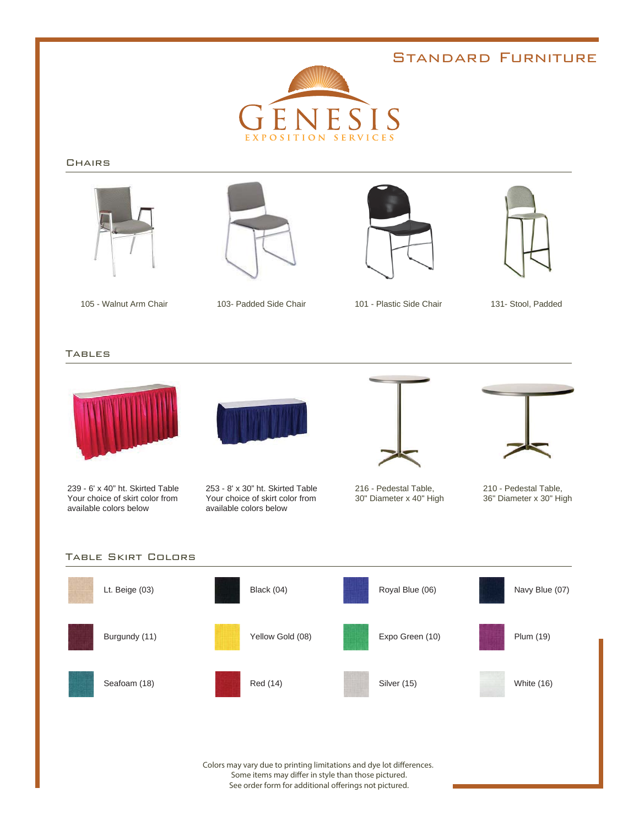### Standard Furniture



#### **CHAIRS**









103- Padded Side Chair 131- Stool, Padded 105 - Walnut Arm Chair 101 - Plastic Side Chair

TABLES



239 - 6' x 40" ht. Skirted Table Your choice of skirt color from available colors below



253 - 8' x 30" ht. Skirted Table Your choice of skirt color from available colors below



216 - Pedestal Table, 30" Diameter x 40" High



210 - Pedestal Table, 36" Diameter x 30" High



Colors may vary due to printing limitations and dye lot differences. Some items may differ in style than those pictured. See order form for additional offerings not pictured.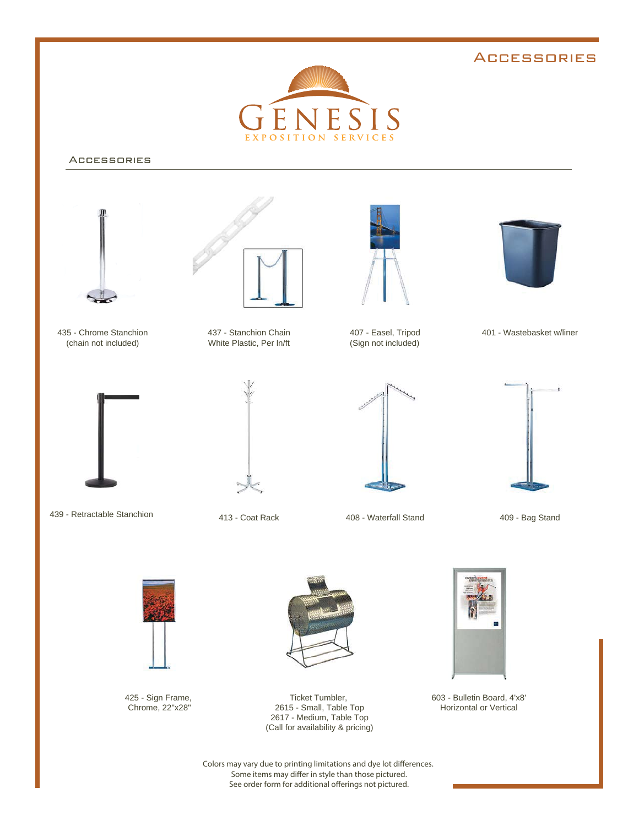#### **ACCESSORIES**



#### Accessories



Colors may vary due to printing limitations and dye lot differences. Some items may differ in style than those pictured. See order form for additional offerings not pictured.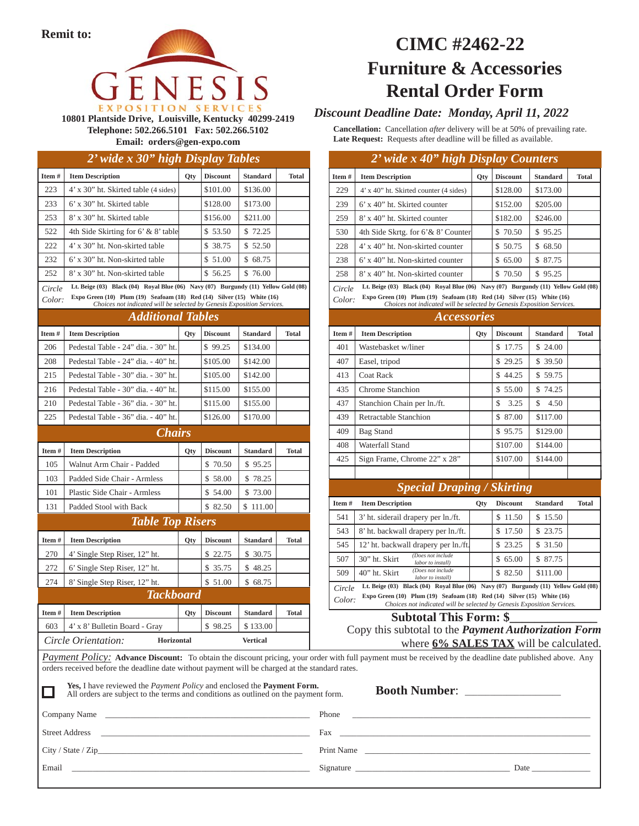

**10801 Plantside Drive, Louisville, Kentucky 40299-2419 Telephone: 502.266.5101 Fax: 502.266.5102 Email: orders@gen-expo.com**

#### *2' wide x 30" high Display Tables*

| Item#                                                       | <b>Item Description</b>                                                                                                                                                                                                                | <b>Qty</b> | <b>Discount</b> | <b>Standard</b> | <b>Total</b> |
|-------------------------------------------------------------|----------------------------------------------------------------------------------------------------------------------------------------------------------------------------------------------------------------------------------------|------------|-----------------|-----------------|--------------|
| 223                                                         | 4' x 30" ht. Skirted table (4 sides)                                                                                                                                                                                                   |            | \$101.00        | \$136.00        |              |
| 233                                                         | 6' x 30" ht. Skirted table                                                                                                                                                                                                             |            | \$128.00        | \$173.00        |              |
| 253                                                         | 8' x 30" ht. Skirted table                                                                                                                                                                                                             |            | \$156.00        | \$211.00        |              |
| 522                                                         | 4th Side Skirting for 6' & 8' table                                                                                                                                                                                                    |            | \$53.50         | \$72.25         |              |
| 222                                                         | 4' x 30" ht. Non-skirted table                                                                                                                                                                                                         |            | \$ 38.75        | \$ 52.50        |              |
| 232                                                         | 6' x 30" ht. Non-skirted table                                                                                                                                                                                                         |            | \$51.00         | \$68.75         |              |
| 252                                                         | 8' x 30" ht. Non-skirted table                                                                                                                                                                                                         |            | \$56.25         | \$76.00         |              |
| Circle<br>Color:                                            | Lt. Beige (03) Black (04) Royal Blue (06) Navy (07) Burgundy (11) Yellow Gold (08)<br>Expo Green (10) Plum (19) Seafoam (18) Red (14) Silver (15) White (16)<br>Choices not indicated will be selected by Genesis Exposition Services. |            |                 |                 |              |
|                                                             | <b>Additional Tables</b>                                                                                                                                                                                                               |            |                 |                 |              |
| Item#                                                       | <b>Item Description</b>                                                                                                                                                                                                                | Qty        | <b>Discount</b> | <b>Standard</b> | <b>Total</b> |
| 206                                                         | Pedestal Table - 24" dia. - 30" ht.                                                                                                                                                                                                    |            | \$99.25         | \$134.00        |              |
| 208                                                         | Pedestal Table - 24" dia. - 40" ht.                                                                                                                                                                                                    |            | \$105.00        | \$142.00        |              |
| 215                                                         | Pedestal Table - 30" dia. - 30" ht.                                                                                                                                                                                                    |            | \$105.00        | \$142.00        |              |
| 216                                                         | Pedestal Table - 30" dia. - 40" ht.                                                                                                                                                                                                    |            | \$115.00        | \$155.00        |              |
| 210                                                         | Pedestal Table - 36" dia. - 30" ht.                                                                                                                                                                                                    |            | \$115.00        | \$155.00        |              |
| 225                                                         | Pedestal Table - 36" dia. - 40" ht.                                                                                                                                                                                                    |            | \$126.00        | \$170.00        |              |
|                                                             | <b>Chairs</b>                                                                                                                                                                                                                          |            |                 |                 |              |
| Item#                                                       | <b>Item Description</b>                                                                                                                                                                                                                | Qty        | <b>Discount</b> | <b>Standard</b> | <b>Total</b> |
| 105                                                         | Walnut Arm Chair - Padded                                                                                                                                                                                                              |            | \$70.50         | \$95.25         |              |
| 103                                                         | Padded Side Chair - Armless                                                                                                                                                                                                            |            | \$58.00         | \$78.25         |              |
| 101                                                         | Plastic Side Chair - Armless                                                                                                                                                                                                           |            | \$54.00         | \$73.00         |              |
| 131                                                         | Padded Stool with Back                                                                                                                                                                                                                 |            | \$ 82.50        | \$111.00        |              |
|                                                             | <b>Table Top Risers</b>                                                                                                                                                                                                                |            |                 |                 |              |
| Item#                                                       | <b>Item Description</b>                                                                                                                                                                                                                | <b>Qty</b> | <b>Discount</b> | <b>Standard</b> | Total        |
| 270                                                         | 4' Single Step Riser, 12" ht.                                                                                                                                                                                                          |            | \$22.75         | \$ 30.75        |              |
| 272                                                         | 6' Single Step Riser, 12" ht.                                                                                                                                                                                                          |            | \$ 35.75        | \$48.25         |              |
| 274                                                         | 8' Single Step Riser, 12" ht.                                                                                                                                                                                                          |            | \$51.00         | \$68.75         |              |
|                                                             | <b>Tackboard</b>                                                                                                                                                                                                                       |            |                 |                 |              |
| Item#                                                       | <b>Item Description</b>                                                                                                                                                                                                                | Qty        | <b>Discount</b> | <b>Standard</b> | <b>Total</b> |
| 603                                                         | 4' x 8' Bulletin Board - Gray                                                                                                                                                                                                          |            | \$98.25         | \$133.00        |              |
| Circle Orientation:<br><b>Vertical</b><br><b>Horizontal</b> |                                                                                                                                                                                                                                        |            |                 |                 |              |

## **CIMC #2462-22 Furniture & Accessories Rental Order Form**

#### *Discount Deadline Date: Monday, April 11, 2022*

**Cancellation:** Cancellation *after* delivery will be at 50% of prevailing rate. Late Request: Requests after deadline will be filled as available.

#### *2' wide x 40" high Display Counters*

| Item $#$ | <b>Item Description</b>                | Qty | <b>Discount</b> | <b>Standard</b> | <b>Total</b> |
|----------|----------------------------------------|-----|-----------------|-----------------|--------------|
| 229      | 4' x 40" ht. Skirted counter (4 sides) |     | \$128.00        | \$173.00        |              |
| 239      | $6'$ x 40" ht. Skirted counter         |     | \$152.00        | \$205.00        |              |
| 259      | 8' x 40" ht. Skirted counter           |     | \$182.00        | \$246.00        |              |
| 530      | 4th Side Skrtg. for 6' & 8' Counter    |     | \$70.50         | \$95.25         |              |
| 228      | 4' x 40" ht. Non-skirted counter       |     | \$50.75         | \$68.50         |              |
| 238      | 6' x 40" ht. Non-skirted counter       |     | 65.00<br>S.     | \$ 87.75        |              |
| 258      | 8' x 40" ht. Non-skirted counter       |     | 70.50           | \$95.25         |              |

*Circle*  **Lt. Beige (03) Black (04) Royal Blue (06) Navy (07) Burgundy (11) Yellow Gold (08)**

| Color: | Expo Green $(10)$ Plum $(19)$ Seafoam $(18)$ Red $(14)$ Silver $(15)$ White $(16)$ |                                                                        |  |  |
|--------|------------------------------------------------------------------------------------|------------------------------------------------------------------------|--|--|
|        |                                                                                    | Choices not indicated will be selected by Genesis Exposition Services. |  |  |

| <i>Accessories</i> |                              |            |                 |                 |              |  |  |
|--------------------|------------------------------|------------|-----------------|-----------------|--------------|--|--|
| Item#              | <b>Item Description</b>      | <b>Qty</b> | <b>Discount</b> | <b>Standard</b> | <b>Total</b> |  |  |
| 401                | Wastebasket w/liner          |            | 17.75<br>S.     | \$24.00         |              |  |  |
| 407                | Easel, tripod                |            | \$29.25         | \$ 39.50        |              |  |  |
| 413                | Coat Rack                    |            | \$44.25         | \$59.75         |              |  |  |
| 435                | Chrome Stanchion             |            | \$55.00         | \$74.25         |              |  |  |
| 437                | Stanchion Chain per ln./ft.  |            | S<br>3.25       | S<br>4.50       |              |  |  |
| 439                | Retractable Stanchion        |            | \$ 87.00        | \$117.00        |              |  |  |
| 409                | Bag Stand                    |            | \$95.75         | \$129.00        |              |  |  |
| 408                | Waterfall Stand              |            | \$107.00        | \$144.00        |              |  |  |
| 425                | Sign Frame, Chrome 22" x 28" |            | \$107.00        | \$144.00        |              |  |  |
|                    |                              |            |                 |                 |              |  |  |

#### *Special Draping / Skirting*

| Item#                                                                                                                                                                  | <b>Item Description</b>                                 | <b>Qty</b> | <b>Discount</b> | <b>Standard</b> | Total |
|------------------------------------------------------------------------------------------------------------------------------------------------------------------------|---------------------------------------------------------|------------|-----------------|-----------------|-------|
| 541                                                                                                                                                                    | 3' ht. siderail drapery per ln./ft.                     |            | 11.50<br>\$     | \$15.50         |       |
| 543                                                                                                                                                                    | 8' ht. backwall drapery per ln./ft.                     |            | \$17.50         | \$23.75         |       |
| 545                                                                                                                                                                    | 12' ht. backwall drapery per ln./ft.                    |            | \$23.25         | \$ 31.50        |       |
| 507                                                                                                                                                                    | (Does not include<br>30" ht. Skirt<br>labor to install) |            | 65.00<br>S.     | \$ 87.75        |       |
| 509                                                                                                                                                                    | (Does not include<br>40" ht. Skirt<br>labor to install) |            | \$82.50         | \$111.00        |       |
| Lt. Beige (03) Black (04) Royal Blue (06) Navy (07) Burgundy (11) Yellow Gold (08)<br>Circle                                                                           |                                                         |            |                 |                 |       |
| Expo Green $(10)$ Plum $(19)$ Seafoam $(18)$ Red $(14)$ Silver $(15)$ White $(16)$<br>Color:<br>Choices not indicated will be selected by Genesis Exposition Services. |                                                         |            |                 |                 |       |

Subtotal This Form: \$

Copy this subtotal to the *Payment Authorization Form*  where **6% SALES TAX** will be calculated.

**Payment Policy: Advance Discount:** To obtain the discount pricing, your order with full payment must be received by the deadline date published above. Any orders received before the deadline date without payment will be charged at the standard rates.

| Yes, I have reviewed the <i>Payment Policy</i> and enclosed the <b>Payment Form.</b><br>All orders are subject to the terms and conditions as outlined on the payment form.                                                                            | Booth Number: __________________                                                                                                                                                                                               |
|--------------------------------------------------------------------------------------------------------------------------------------------------------------------------------------------------------------------------------------------------------|--------------------------------------------------------------------------------------------------------------------------------------------------------------------------------------------------------------------------------|
|                                                                                                                                                                                                                                                        | Phone<br><u> 1980 - John Harry Barn, mars and deutscher Amerikaanse kommen</u>                                                                                                                                                 |
| <b>Street Address</b><br>the control of the control of the control of the control of the control of the control of the control of the control of the control of the control of the control of the control of the control of the control of the control | Fax and the set of the set of the set of the set of the set of the set of the set of the set of the set of the                                                                                                                 |
| City / State / Zip                                                                                                                                                                                                                                     | Print Name                                                                                                                                                                                                                     |
| Email                                                                                                                                                                                                                                                  | Signature Signature Signature Signature Signature Signature Signature Signature Signature Signature Signature Signature Signature Signature Signature Signature Signature Signature Signature Signature Signature Signature Si |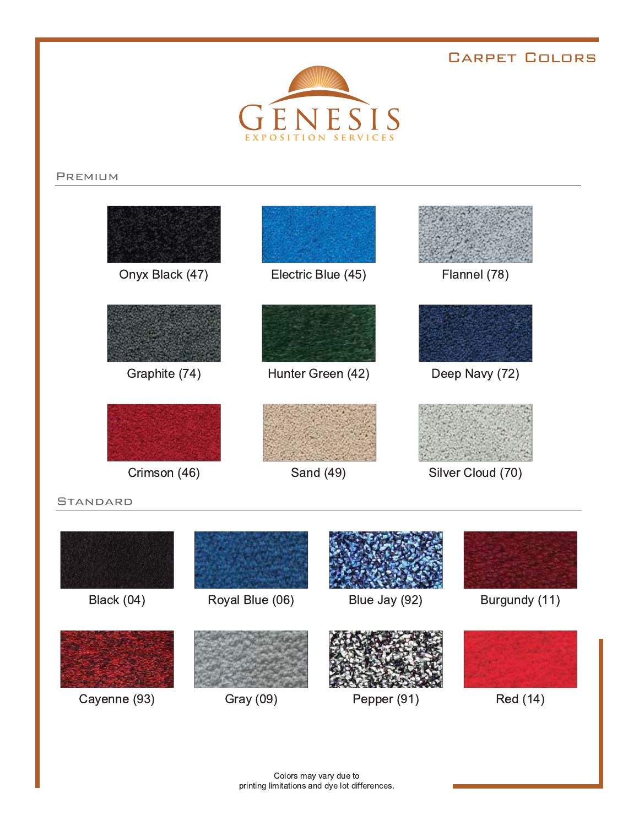### **CARPET COLORS**



#### **PREMIUM**



#### **STANDARD**

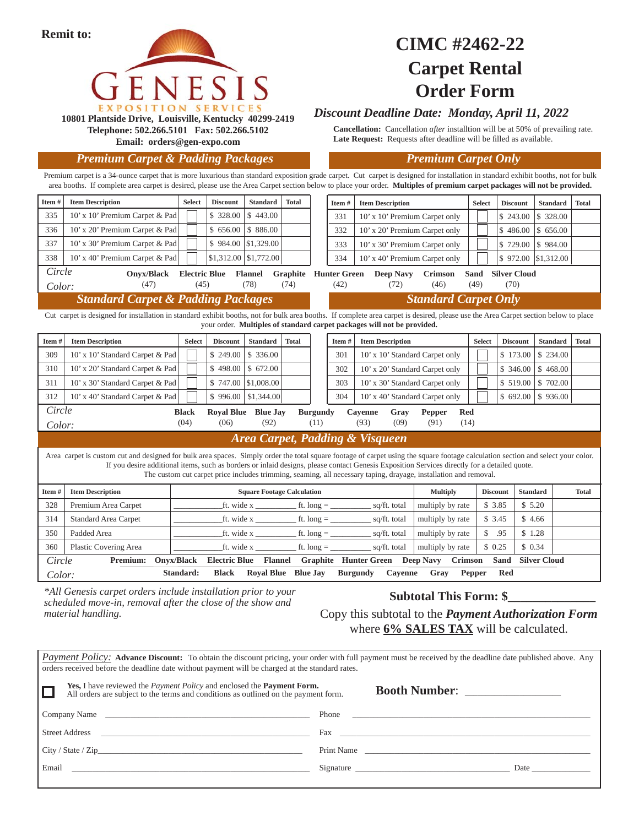

## **CIMC #2462-22 Carpet Rental Order Form**

#### *Discount Deadline Date: Monday, April 11, 2022*

**Cancellation:** Cancellation *after* installtion will be at 50% of prevailing rate. Late Request: Requests after deadline will be filled as available.

**Email: orders@gen-expo.com** *Premium Carpet & Padding Packages Premium Carpet Only*

**Telephone: 502.266.5101 Fax: 502.266.5102**

*Payment Policy:* Advance Discount: To obtain the discount pricing, your order with full payment must be received by the deadline date published above. Any orders received before the deadline date without payment will be charged at the standard rates. **Yes,** I have reviewed the *Payment Policy* and enclosed the **Payment Form.** All orders are subject to the terms and conditions as outlined on the payment form.  **Booth Number**: \_\_\_\_\_\_\_\_\_\_\_\_\_\_\_\_\_\_\_\_\_\_\_ Company Name \_\_\_\_\_\_\_\_\_\_\_\_\_\_\_\_\_\_\_\_\_\_\_\_\_\_\_\_\_\_\_\_\_\_\_\_\_\_\_\_\_\_\_\_\_\_\_\_\_ Phone \_\_\_\_\_\_\_\_\_\_\_\_\_\_\_\_\_\_\_\_\_\_\_\_\_\_\_\_\_\_\_\_\_\_\_\_\_\_\_\_\_\_\_\_\_\_\_\_\_\_\_\_\_\_\_\_\_ Street Address \_\_\_\_\_\_\_\_\_\_\_\_\_\_\_\_\_\_\_\_\_\_\_\_\_\_\_\_\_\_\_\_\_\_\_\_\_\_\_\_\_\_\_\_\_\_\_\_\_\_ Fax \_\_\_\_\_\_\_\_\_\_\_\_\_\_\_\_\_\_\_\_\_\_\_\_\_\_\_\_\_\_\_\_\_\_\_\_\_\_\_\_\_\_\_\_\_\_\_\_\_\_\_\_\_\_\_\_\_\_\_\_ City / State / Zip\_\_\_\_\_\_\_\_\_\_\_\_\_\_\_\_\_\_\_\_\_\_\_\_\_\_\_\_\_\_\_\_\_\_\_\_\_\_\_\_\_\_\_\_\_\_\_\_\_ Print Name \_\_\_\_\_\_\_\_\_\_\_\_\_\_\_\_\_\_\_\_\_\_\_\_\_\_\_\_\_\_\_\_\_\_\_\_\_\_\_\_\_\_\_\_\_\_\_\_\_\_\_\_\_\_ Email \_\_\_\_\_\_\_\_\_\_\_\_\_\_\_\_\_\_\_\_\_\_\_\_\_\_\_\_\_\_\_\_\_\_\_\_\_\_\_\_\_\_\_\_\_\_\_\_\_\_\_\_\_\_\_\_\_ Signature \_\_\_\_\_\_\_\_\_\_\_\_\_\_\_\_\_\_\_\_\_\_\_\_\_\_\_\_\_\_\_\_\_\_\_\_\_ Date \_\_\_\_\_\_\_\_\_\_\_\_\_\_ **Item # Item Description Select Discount Standard Total** 301 | 10' x 10' Standard Carpet only | | | \$ 173.00 | \$ 234.00 302 10' x 20' Standard Carpet only | | | \$ 346.00 \$ 468.00 303 10' x 30' Standard Carpet only | | | | \$ 519.00 | \$ 702.00 304 10' x 40' Standard Carpet only | | | \$ 692.00 \\$ 936.00 **Item # | Item Description | Select | Discount | Standard | Total** 335 10' x 10' Premium Carpet & Pad  $\Box$  \ \ \ \$ 328.00 \ \ \$ 443.00 336 10' x 20' Premium Carpet & Pad  $\begin{array}{|c|c|c|c|c|c|c|c|c|} \hline \end{array}$  \$ 656.00 \$ 886.00 337 | 10' x 30' Premium Carpet & Pad  $\Box$  | \$ 984.00 \\ \$1,329.00 338 10' x 40' Premium Carpet & Pad \Result \\ \\ \\$1,312.00 \\ \$1,772.00 *Standard Carpet Only Area Carpet, Padding & Visqueen Standard Carpet & Padding Packages* 309 10' x 10' Standard Carpet & Pad \ \ \ \ \ \$ 249.00 \ \$ 336.00 310 | 10' x 20' Standard Carpet & Pad | | | | \$ 498.00 | \$ 672.00 311 | 10' x 30' Standard Carpet & Pad | | | | \$ 747.00  $|$1,008.00$ 312 | 10' x 40' Standard Carpet & Pad | | | \$ 996.00 | \$1,344.00 *Circle Color: Circle Color:*  **Item # | Item Description 1.1 Constant Constant Constant Constant Constant Constant Constant Constant Constant Constant Constant Constant Constant Constant Constant Constant Constant Constant Constant Constant Constant Co**  328 Premium Area Carpet \_\_\_\_\_\_\_\_\_\_\_\_ft. wide x \_\_\_\_\_\_\_\_\_\_ ft. long = \_\_\_\_\_\_\_\_\_\_ sq/ft. total multiply by rate \$ 3.85 \$ 5.20 314 Standard Area Carpet  $\begin{array}{|l|}\n\hline\n\end{array}$  ft. long =  $\begin{array}{|l|}\n\hline\n\end{array}$  sq/ft. total  $\begin{array}{|l|}\n\hline\n\end{array}$  multiply by rate  $\begin{array}{|l|}\n\hline\n\end{array}$  \$ 4.66 350 Padded Area \_\_\_\_\_\_\_\_\_\_\_\_ft. wide x \_\_\_\_\_\_\_\_\_\_ ft. long = \_\_\_\_\_\_\_\_\_\_ sq/ft. total multiply by rate \$ .95 \$ 1.28 360 Plastic Covering Area \_\_\_\_\_\_\_\_\_\_\_\_ft. wide x \_\_\_\_\_\_\_\_\_\_ ft. long = \_\_\_\_\_\_\_\_\_\_ sq/ft. total multiply by rate \$ 0.25 \$ 0.34 Area carpet is custom cut and designed for bulk area spaces. Simply order the total square footage of carpet using the square footage calculation section and select your color. If you desire additional items, such as borders or inlaid designs, please contact Genesis Exposition Services directly for a detailed quote. The custom cut carpet price includes trimming, seaming, all necessary taping, drayage, installation and removal. Cut carpet is designed for installation in standard exhibit booths, not for bulk area booths. If complete area carpet is desired, please use the Area Carpet section below to place your order. **Multiples of standard carpet packages will not be provided.**  Premium carpet is a 34-ounce carpet that is more luxurious than standard exposition grade carpet. Cut carpet is designed for installation in standard exhibit booths, not for bulk area booths. If complete area carpet is desired, please use the Area Carpet section below to place your order. **Multiples of premium carpet packages will not be provided.**  *Circle Color:*  **Item # | Item Description | Select | Discount | Standard | Total** 331 | 10' x 10' Premium Carpet only | | | | | | \$ 243.00 | \$ 328.00 332 10' x 20' Premium Carpet only  $\begin{array}{|c|c|c|c|c|c|} \hline \end{array}$  \$ 486.00 \\ \$ 656.00 333 | 10' x 30' Premium Carpet only | | | | | | | | | | | | | | | 984.00 334 10' x 40' Premium Carpet only | | | \$ 972.00 \$1,312.00 **Onyx/Black Electric Blue Flannel Graphite Hunter Green Deep Navy Crimson Sand Silver Cloud** (47) (45) (78) (74) (42) (72) (46) (49) (70) **Black Royal Blue Blue Jay Burgundy Cayenne Gray Pepper Red** (04) (06) (92) (11) (93) (09) (91) (14) **Premium: Onyx/Black Electric Blue Flannel Graphite Hunter Green Deep Navy Crimson Sand Silver Cloud Standard: Black Royal Blue Blue Jay Burgundy Cayenne Gray Pepper Red Subtotal This Form: \$\_\_\_\_\_\_\_\_\_\_\_\_\_\_** Copy this subtotal to the *Payment Authorization Form*  where **6% SALES TAX** will be calculated. **Item # Item Description Select Discount Standard Total** *\*All Genesis carpet orders include installation prior to your scheduled move-in, removal after the close of the show and material handling.*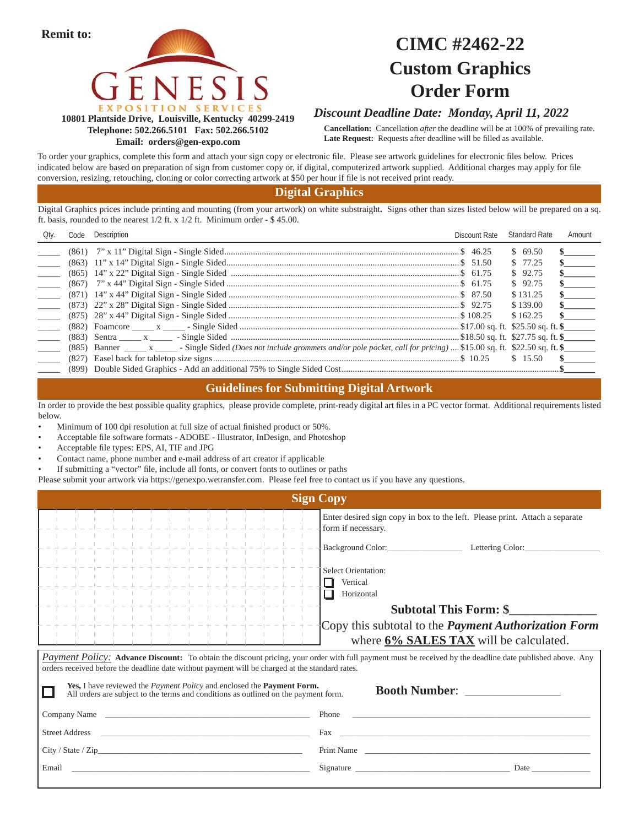



## **CIMC #2462-22 Custom Graphics Order Form**

#### **10801 Plantside Drive, Louisville, Kentucky 40299-2419 Telephone: 502.266.5101 Fax: 502.266.5102 Email: orders@gen-expo.com**

#### *Discount Deadline Date: Monday, April 11, 2022*

**Cancellation:** Cancellation *after* the deadline will be at 100% of prevailing rate. Late Request: Requests after deadline will be filled as available.

To order your graphics, complete this form and attach your sign copy or electronic file. Please see artwork guidelines for electronic files below. Prices indicated below are based on preparation of sign from customer copy or, if digital, computerized artwork supplied. Additional charges may apply for file conversion, resizing, retouching, cloning or color correcting artwork at \$50 per hour if file is not received print ready.

#### **Digital Graphics**

Digital Graphics prices include printing and mounting (from your artwork) on white substraight**.** Signs other than sizes listed below will be prepared on a sq. ft. basis, rounded to the nearest 1/2 ft. x 1/2 ft. Minimum order - \$ 45.00.

| Qty.                            | Code Description | Discount Rate | Standard Rate | Amount                        |
|---------------------------------|------------------|---------------|---------------|-------------------------------|
|                                 |                  |               | \$69.50       | $\mathbf{s}$ and $\mathbf{s}$ |
| $\overline{\phantom{a}}$        |                  |               | \$77.25       | $\frac{\sim}{\sim}$           |
|                                 |                  |               | \$92.75       | $\sim$                        |
|                                 |                  |               | \$92.75       | $\sim$                        |
| <b>Contract Contract</b>        |                  |               | \$131.25      | $\sim$                        |
| $\sim$                          |                  |               | \$139.00      | $\sim$                        |
|                                 |                  |               | \$162.25      | $\mathbf{s}$                  |
|                                 |                  |               |               |                               |
| $\frac{1}{2}$ and $\frac{1}{2}$ |                  |               |               |                               |
|                                 |                  |               |               |                               |
|                                 |                  |               | \$15.50       | $\mathbf{s}$                  |
|                                 |                  |               |               |                               |

#### **Guidelines for Submitting Digital Artwork**

In order to provide the best possible quality graphics, please provide complete, print-ready digital art files in a PC vector format. Additional requirements listed below.

- Minimum of 100 dpi resolution at full size of actual finished product or 50%.
- Acceptable file software formats ADOBE Illustrator, InDesign, and Photoshop
- Acceptable file types: EPS, AI, TIF and JPG
- Contact name, phone number and e-mail address of art creator if applicable
- If submitting a "vector" file, include all fonts, or convert fonts to outlines or paths
- Please submit your artwork via https://genexpo.wetransfer.com. Please feel free to contact us if you have any questions.

| <b>Sign Copy</b>                                                                                                                                                                                                                                                                                              |                                                                                                   |  |  |  |
|---------------------------------------------------------------------------------------------------------------------------------------------------------------------------------------------------------------------------------------------------------------------------------------------------------------|---------------------------------------------------------------------------------------------------|--|--|--|
|                                                                                                                                                                                                                                                                                                               | Enter desired sign copy in box to the left. Please print. Attach a separate<br>form if necessary. |  |  |  |
|                                                                                                                                                                                                                                                                                                               | Background Color:<br>Lettering Color:                                                             |  |  |  |
|                                                                                                                                                                                                                                                                                                               | Select Orientation:<br>Vertical                                                                   |  |  |  |
|                                                                                                                                                                                                                                                                                                               | Horizontal<br><b>Subtotal This Form: \$</b>                                                       |  |  |  |
|                                                                                                                                                                                                                                                                                                               | Copy this subtotal to the <i>Payment Authorization Form</i>                                       |  |  |  |
| where 6% SALES TAX will be calculated.<br><b>Payment Policy:</b> Advance Discount: To obtain the discount pricing, your order with full payment must be received by the deadline date published above. Any<br>orders received before the deadline date without payment will be charged at the standard rates. |                                                                                                   |  |  |  |

| Yes, I have reviewed the <i>Payment Policy</i> and enclosed the <b>Payment Form.</b><br>All orders are subject to the terms and conditions as outlined on the payment form. | Booth Number:                                                                                                                                                                                                                  |
|-----------------------------------------------------------------------------------------------------------------------------------------------------------------------------|--------------------------------------------------------------------------------------------------------------------------------------------------------------------------------------------------------------------------------|
|                                                                                                                                                                             | Phone                                                                                                                                                                                                                          |
| <b>Street Address</b><br><u> 1980 - Jan Barbara (h. 1980).</u><br>1900 - Johann Barbara, frantziar idazlea (h. 1900).                                                       |                                                                                                                                                                                                                                |
| City / State / Zip                                                                                                                                                          | Print Name                                                                                                                                                                                                                     |
| Email                                                                                                                                                                       | Signature Signature Signature Signature Signature Signature Signature Signature Signature Signature Signature Signature Signature Signature Signature Signature Signature Signature Signature Signature Signature Signature Si |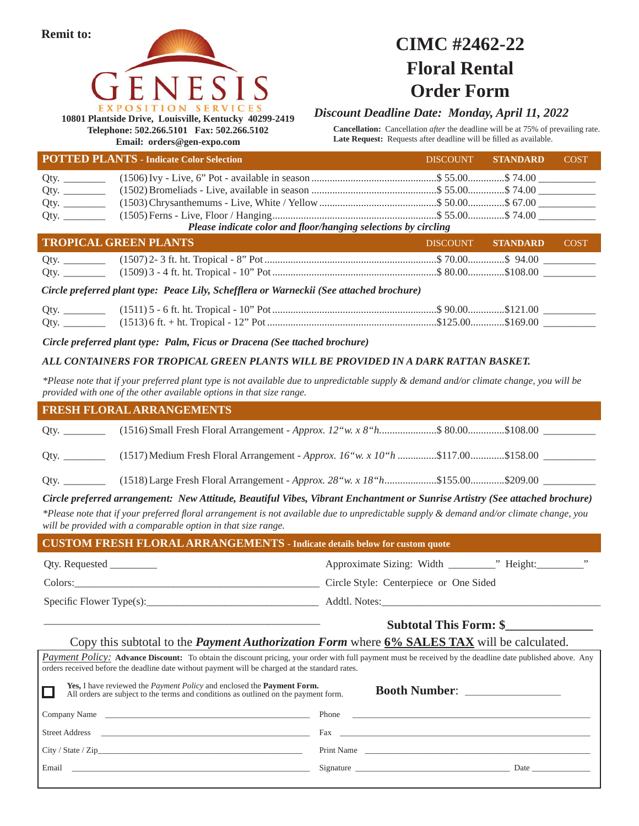



## **CIMC #2462-22 Floral Rental Order Form**

**10801 Plantside Drive, Louisville, Kentucky 40299-2419 Telephone: 502.266.5101 Fax: 502.266.5102 Email: orders@gen-expo.com**

*Discount Deadline Date: Monday, April 11, 2022*

**Cancellation:** Cancellation *after* the deadline will be at 75% of prevailing rate. Late Request: Requests after deadline will be filled as available.

|                                                                                          | <b>POTTED PLANTS - Indicate Color Selection</b>                | <b>DISCOUNT</b> | <b>STANDARD</b> | <b>COST</b> |  |  |
|------------------------------------------------------------------------------------------|----------------------------------------------------------------|-----------------|-----------------|-------------|--|--|
|                                                                                          |                                                                |                 |                 |             |  |  |
| Qty. $\qquad \qquad$                                                                     |                                                                |                 |                 |             |  |  |
|                                                                                          |                                                                |                 |                 |             |  |  |
|                                                                                          |                                                                |                 |                 |             |  |  |
|                                                                                          | Please indicate color and floor/hanging selections by circling |                 |                 |             |  |  |
|                                                                                          | <b>TROPICAL GREEN PLANTS</b>                                   | <b>DISCOUNT</b> | <b>STANDARD</b> | <b>COST</b> |  |  |
|                                                                                          |                                                                |                 |                 |             |  |  |
|                                                                                          |                                                                |                 |                 |             |  |  |
| Circle preferred plant type: Peace Lily, Schefflera or Warneckii (See attached brochure) |                                                                |                 |                 |             |  |  |
|                                                                                          |                                                                |                 |                 |             |  |  |
|                                                                                          |                                                                |                 |                 |             |  |  |

*Circle preferred plant type: Palm, Ficus or Dracena (See ttached brochure)*

\_\_\_\_\_\_\_\_\_\_\_\_\_\_\_\_\_\_\_\_\_\_\_\_\_\_\_\_\_\_\_\_\_\_\_\_\_\_\_\_\_\_\_\_\_\_\_\_\_\_\_\_\_

#### *ALL CONTAINERS FOR TROPICAL GREEN PLANTS WILL BE PROVIDED IN A DARK RATTAN BASKET.*

*\*Please note that if your preferred plant type is not available due to unpredictable supply & demand and/or climate change, you will be provided with one of the other available options in that size range.*

## **CUSTOM FRESH FLORAL ARRANGEMENTS - Indicate details below for custom quote FRESH FLORAL ARRANGEMENTS**  Qty. Requested \_\_\_\_\_\_\_\_\_\_ contains a pproximate Sizing: Width \_\_\_\_\_\_\_\_\_\_\_\_\_\_\_\_\_\_\_ " Height: \_\_\_\_\_\_\_\_\_\_\_\_\_\_" Colors:\_\_\_\_\_\_\_\_\_\_\_\_\_\_\_\_\_\_\_\_\_\_\_\_\_\_\_\_\_\_\_\_\_\_\_\_\_\_\_\_\_\_\_\_\_\_\_ Circle Style:Centerpiece or One Sided Qty. \_\_\_\_\_\_\_\_\_ (1516) Small Fresh Floral Arrangement - *Approx. 12"w. x 8"h.....................*\$ 80.00................\$108.00 \_\_\_\_\_\_\_\_\_\_ Qty. \_\_\_\_\_\_\_\_ (1517) Medium Fresh Floral Arrangement - *Approx.* 16"w. x 10"h ...............\$117.00 ...............\$158.00 \_\_\_\_\_\_\_\_\_\_ Qty. \_\_\_\_\_\_\_\_ (1518) Large Fresh Floral Arrangement - *Approx. 28"w. x 18"h* ....................\$155.00.............\$209.00 \_\_\_\_\_\_\_\_\_\_ *\*Please note that if your preferred fl oral arrangement is not available due to unpredictable supply & demand and/or climate change, you will be provided with a comparable option in that size range. Circle preferred arrangement: New Attitude, Beautiful Vibes, Vibrant Enchantment or Sunrise Artistry (See attached brochure)*

Specifi c Flower Type(s):\_\_\_\_\_\_\_\_\_\_\_\_\_\_\_\_\_\_\_\_\_\_\_\_\_\_\_\_\_\_\_\_\_ Addtl. Notes:\_\_\_\_\_\_\_\_\_\_\_\_\_\_\_\_\_\_\_\_\_\_\_\_\_\_\_\_\_\_\_\_\_\_\_\_\_\_\_\_\_\_

#### **Subtotal This Form: \$\_\_\_\_\_\_\_\_\_\_\_\_\_\_**

#### Copy this subtotal to the *Payment Authorization Form* where **6% SALES TAX** will be calculated.

| <b>Payment Policy:</b> Advance Discount: To obtain the discount pricing, your order with full payment must be received by the deadline date published above. Any<br>orders received before the deadline date without payment will be charged at the standard rates. |                                                                                                                                                                                                                                                                                                                                                                                                                                                                 |  |  |  |
|---------------------------------------------------------------------------------------------------------------------------------------------------------------------------------------------------------------------------------------------------------------------|-----------------------------------------------------------------------------------------------------------------------------------------------------------------------------------------------------------------------------------------------------------------------------------------------------------------------------------------------------------------------------------------------------------------------------------------------------------------|--|--|--|
| <b>Yes, I</b> have reviewed the <i>Payment Policy</i> and enclosed the <b>Payment Form.</b><br>All orders are subject to the terms and conditions as outlined on the payment form.                                                                                  | Booth Number:                                                                                                                                                                                                                                                                                                                                                                                                                                                   |  |  |  |
| Company Name                                                                                                                                                                                                                                                        |                                                                                                                                                                                                                                                                                                                                                                                                                                                                 |  |  |  |
| <b>Street Address</b><br><u> 1980 - Johann Stoff, amerikansk politiker (d. 1980)</u>                                                                                                                                                                                |                                                                                                                                                                                                                                                                                                                                                                                                                                                                 |  |  |  |
| City / State / Zip                                                                                                                                                                                                                                                  | Print Name                                                                                                                                                                                                                                                                                                                                                                                                                                                      |  |  |  |
| Email                                                                                                                                                                                                                                                               | Signature experience and the set of the set of the set of the set of the set of the set of the set of the set of the set of the set of the set of the set of the set of the set of the set of the set of the set of the set of<br>Date and the same state of the state of the state of the state of the state of the state of the state of the state of the state of the state of the state of the state of the state of the state of the state of the state of |  |  |  |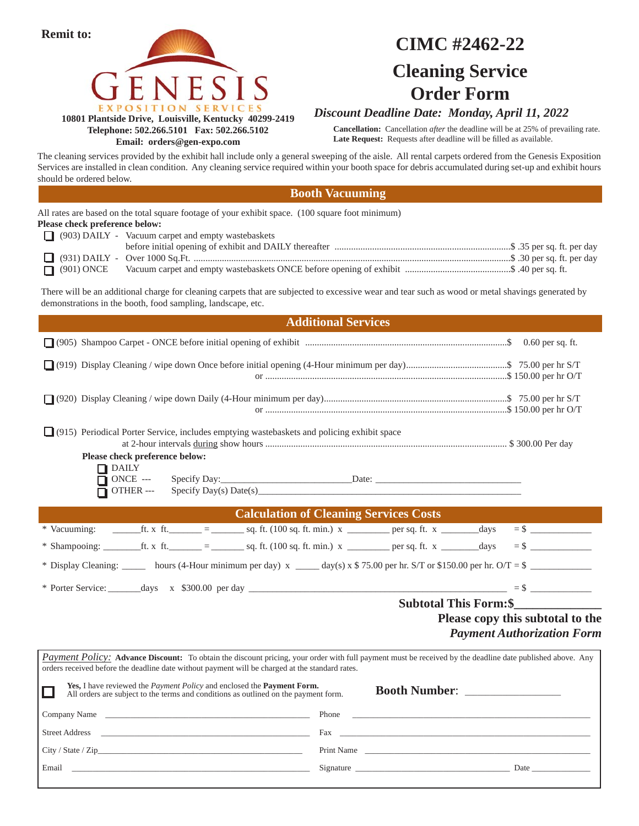

**Email: orders@gen-expo.com**

## **CIMC #2462-22 Cleaning Service Order Form**

#### *Discount Deadline Date: Monday, April 11, 2022*

**Cancellation:** Cancellation *after* the deadline will be at 25% of prevailing rate. Late Request: Requests after deadline will be filled as available.

The cleaning services provided by the exhibit hall include only a general sweeping of the aisle. All rental carpets ordered from the Genesis Exposition Services are installed in clean condition. Any cleaning service required within your booth space for debris accumulated during set-up and exhibit hours should be ordered below.

#### **Booth Vacuuming**

|                                | All rates are based on the total square footage of your exhibit space. (100 square foot minimum)                 |
|--------------------------------|------------------------------------------------------------------------------------------------------------------|
| Please check preference below: |                                                                                                                  |
|                                | (903) DAILY - Vacuum carpet and empty wastebaskets                                                               |
|                                | before initial opening of exhibit and DAILY thereafter manufactured manufactured methods. 35 per sq. ft. per day |
|                                |                                                                                                                  |
|                                |                                                                                                                  |

There will be an additional charge for cleaning carpets that are subjected to excessive wear and tear such as wood or metal shavings generated by demonstrations in the booth, food sampling, landscape, etc.

|                                                                                                                                                                                                                                                              | <b>Additional Services</b>                                                                                                                                                                                                           |                                                                       |
|--------------------------------------------------------------------------------------------------------------------------------------------------------------------------------------------------------------------------------------------------------------|--------------------------------------------------------------------------------------------------------------------------------------------------------------------------------------------------------------------------------------|-----------------------------------------------------------------------|
|                                                                                                                                                                                                                                                              |                                                                                                                                                                                                                                      |                                                                       |
|                                                                                                                                                                                                                                                              |                                                                                                                                                                                                                                      |                                                                       |
|                                                                                                                                                                                                                                                              |                                                                                                                                                                                                                                      |                                                                       |
| [915] Periodical Porter Service, includes emptying wastebaskets and policing exhibit space                                                                                                                                                                   |                                                                                                                                                                                                                                      |                                                                       |
| Please check preference below:<br>$\Box$ DAILY<br>$\overline{\Box}$ ONCE ---<br>OTHER ---                                                                                                                                                                    | $\text{Specify Day}(s) \text{ Date}(s)$                                                                                                                                                                                              |                                                                       |
|                                                                                                                                                                                                                                                              | <b>Calculation of Cleaning Services Costs</b>                                                                                                                                                                                        |                                                                       |
|                                                                                                                                                                                                                                                              |                                                                                                                                                                                                                                      |                                                                       |
|                                                                                                                                                                                                                                                              |                                                                                                                                                                                                                                      |                                                                       |
| * Display Cleaning: hours (4-Hour minimum per day) $x = \frac{day(s) \times $75.00 \text{ per hr. S/T or $150.00 per hr. O/T = $ }$                                                                                                                          |                                                                                                                                                                                                                                      |                                                                       |
|                                                                                                                                                                                                                                                              |                                                                                                                                                                                                                                      |                                                                       |
|                                                                                                                                                                                                                                                              | <b>Subtotal This Form: \$</b>                                                                                                                                                                                                        |                                                                       |
|                                                                                                                                                                                                                                                              |                                                                                                                                                                                                                                      | Please copy this subtotal to the<br><b>Payment Authorization Form</b> |
| Payment Policy: Advance Discount: To obtain the discount pricing, your order with full payment must be received by the deadline date published above. Any<br>orders received before the deadline date without payment will be charged at the standard rates. |                                                                                                                                                                                                                                      |                                                                       |
| Yes, I have reviewed the <i>Payment Policy</i> and enclosed the <b>Payment Form.</b><br>$\Box$<br>All orders are subject to the terms and conditions as outlined on the payment form.                                                                        | <b>Booth Number:</b>                                                                                                                                                                                                                 |                                                                       |
| Company Name                                                                                                                                                                                                                                                 | Phone <b>Proprieting the Contract Contract Contract Contract Contract Contract Contract Contract Contract Contract Contract Contract Contract Contract Contract Contract Contract Contract Contract Contract Contract Contract C</b> |                                                                       |
| Street Address and the state of the state of the state of the state of the state of the state of the state of the state of the state of the state of the state of the state of the state of the state of the state of the stat                               | Fax and the set of the set of the set of the set of the set of the set of the set of the set of the set of the                                                                                                                       |                                                                       |
|                                                                                                                                                                                                                                                              | Print Name                                                                                                                                                                                                                           |                                                                       |
| Email                                                                                                                                                                                                                                                        | Signature Date Date                                                                                                                                                                                                                  |                                                                       |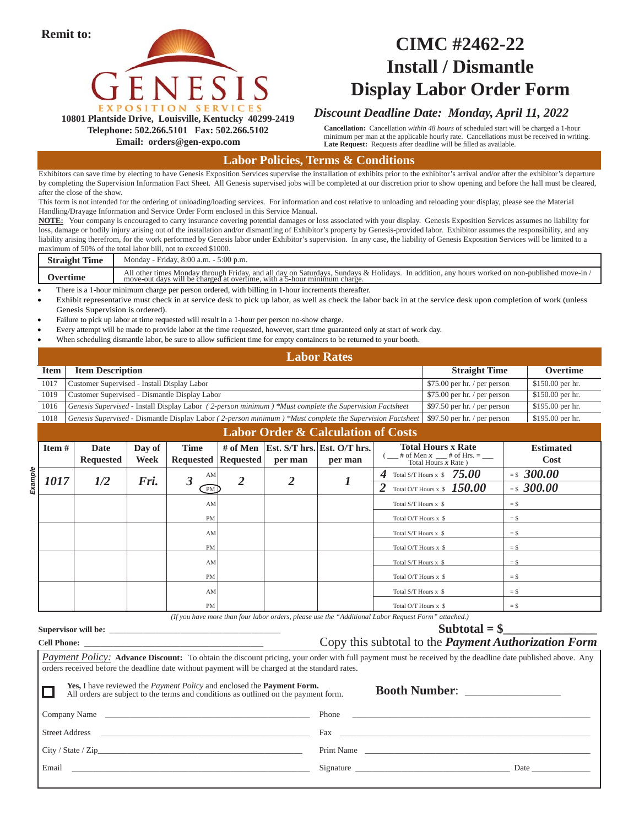

## **CIMC #2462-22 Install / Dismantle Display Labor Order Form**

#### *Discount Deadline Date: Monday, April 11, 2022*

**10801 Plantside Drive, Louisville, Kentucky 40299-2419 Telephone: 502.266.5101 Fax: 502.266.5102**

**Email: orders@gen-expo.com**

**Cancellation:** Cancellation *within 48 hours* of scheduled start will be charged a 1-hour minimum per man at the applicable hourly rate. Cancellations must be received in writing. Late Request: Requests after deadline will be filled as available.

#### **Labor Policies, Terms & Conditions**

Exhibitors can save time by electing to have Genesis Exposition Services supervise the installation of exhibits prior to the exhibitor's arrival and/or after the exhibitor's departure by completing the Supervision Information Fact Sheet. All Genesis supervised jobs will be completed at our discretion prior to show opening and before the hall must be cleared, after the close of the show.

This form is not intended for the ordering of unloading/loading services. For information and cost relative to unloading and reloading your display, please see the Material Handling/Drayage Information and Service Order Form enclosed in this Service Manual.

**NOTE:** Your company is encouraged to carry insurance covering potential damages or loss associated with your display. Genesis Exposition Services assumes no liability for loss, damage or bodily injury arising out of the installation and/or dismantling of Exhibitor's property by Genesis-provided labor. Exhibitor assumes the responsibility, and any liability arising therefrom, for the work performed by Genesis labor under Exhibitor's supervision. In any case, the liability of Genesis Exposition Services will be limited to a maximum of 50% of the total labor bill, not to exceed \$1000.

| <b>FEDER</b><br><b>Straight</b><br><b>Time</b> | Monday - Friday, 8:00 a.m. - 5:00 p.m.                                                                                                                                                                                                        |
|------------------------------------------------|-----------------------------------------------------------------------------------------------------------------------------------------------------------------------------------------------------------------------------------------------|
|                                                | In addition, any hours worked on non-published move-in /<br>All other times Monday through Friday, and all day on Saturdays,<br>. Sundavs & Holidavs.<br>move-out days will be charged at<br>at overtime.<br>with a<br>5-hour minimum charge. |

There is a 1-hour minimum charge per person ordered, with billing in 1-hour increments thereafter.

 Exhibit representative must check in at service desk to pick up labor, as well as check the labor back in at the service desk upon completion of work (unless Genesis Supervision is ordered).

Failure to pick up labor at time requested will result in a 1-hour per person no-show charge.

- Every attempt will be made to provide labor at the time requested, however, start time guaranteed only at start of work day.
- When scheduling dismantle labor, be sure to allow sufficient time for empty containers to be returned to your booth.

#### *Straight Time* **Description Straight Time Overtime** 1017 Customer Supervised - Install Display Labor \$150.00 per hr. / per person \$150.00 per hr. 1019 Customer Supervised - Dismantle Display Labor \$75.00 per hr. / per person \$150.00 per hr. **Labor Rates** AM 2 2  $1\frac{4}{2}$  Total S/T Hours x \$  $75.00$  = \$  $300.00$  $\boxed{\text{PM}}$   $\begin{array}{c|c|c|c} \text{2} & \text{1} & \text{2} & \text{2} & \text{Total OT Hours x} & \text{50.00} & \text{1} & \text{15} & \text{300.00} \end{array}$ AM Total S/T Hours  $x \text{ s}$  = \$  $PM$   $\qquad \qquad$   $\qquad \qquad$   $\qquad \qquad$   $\qquad \qquad$   $\qquad \qquad$   $\qquad \qquad$   $\qquad \qquad$   $\qquad \qquad$   $\qquad \qquad$   $\qquad \qquad$   $\qquad \qquad$   $\qquad \qquad$   $\qquad \qquad$   $\qquad \qquad$   $\qquad \qquad$   $\qquad \qquad$   $\qquad \qquad$   $\qquad \qquad$   $\qquad \qquad$   $\qquad \qquad$   $\qquad \qquad$   $\qquad \qquad$   $\qquad \qquad$   $\qquad \qquad$   $AM$   $=$   $\frac{8}{3}$  $PM$  Total O/T Hours x \$  $=$  \$ AM  $\vert$   $=$  \$  $\vert$  $P$ M  $\vert$   $=$  \$  $\vert$ AM Total S/T Hours x  $\text{\$}$  = \$ PM Total O/T Hours x \$  $=$  \$ **Labor Order & Calculation of Costs Item # Date Requested Day of Week Time Requested # of Men Requested Est. S/T hrs. Est. O/T hrs. per man per man Total Hours x Rate**<br># of Men x # of Hrs. =  $#$  of Men  $x$ Total Hours *x* Rate ) **Estimated Cost** *Example 1017 1/2 Fri. 3 2 2 1 4 75.00 300.00* 1016 *Genesis Supervised* - Install Display Labor *( 2-person minimum ) \*Must complete the Supervision Factsheet* \$97.50 per hr. / per person \$195.00 per hr. 1018 *Genesis Supervised* - Dismantle Display Labor (2-person minimum) \*Must complete the Supervision Factsheet \$97.50 per hr. / per person \$195.00 per hr.

*(If you have more than four labor orders, please use the "Additional Labor Request Form" attached.)*

#### Supervisor will be:

**Cell Phone: \_\_\_\_\_\_\_\_\_\_\_\_\_\_\_\_\_\_\_\_\_\_\_\_\_\_\_\_\_\_\_\_\_\_\_\_\_\_\_\_\_\_\_**

| Subtotal $=$ \$                                             |  |
|-------------------------------------------------------------|--|
| Copy this subtotal to the <i>Payment Authorization Form</i> |  |

| <b>Payment Policy:</b> Advance Discount: To obtain the discount pricing, your order with full payment must be received by the deadline date published above. Any<br>orders received before the deadline date without payment will be charged at the standard rates. |            |             |  |  |
|---------------------------------------------------------------------------------------------------------------------------------------------------------------------------------------------------------------------------------------------------------------------|------------|-------------|--|--|
| <b>Yes, I</b> have reviewed the <i>Payment Policy</i> and enclosed the <b>Payment Form.</b><br>Booth Number:<br>All orders are subject to the terms and conditions as outlined on the payment form.                                                                 |            |             |  |  |
| Company Name Company Name Company Name Company Name Company Name Company Name Company Name Company Name Company Name Company of the Company of the Company of the Company of the Company of the Company of the Company of the                                       | Phone      |             |  |  |
| Street Address and the state of the state of the state of the state of the state of the state of the state of the state of the state of the state of the state of the state of the state of the state of the state of the stat                                      |            |             |  |  |
|                                                                                                                                                                                                                                                                     | Print Name |             |  |  |
| Email<br><u> 1999 - Jan Samuel Barbara, margaret e control de la control de la control de la control de la control de la c</u>                                                                                                                                      |            | <b>Date</b> |  |  |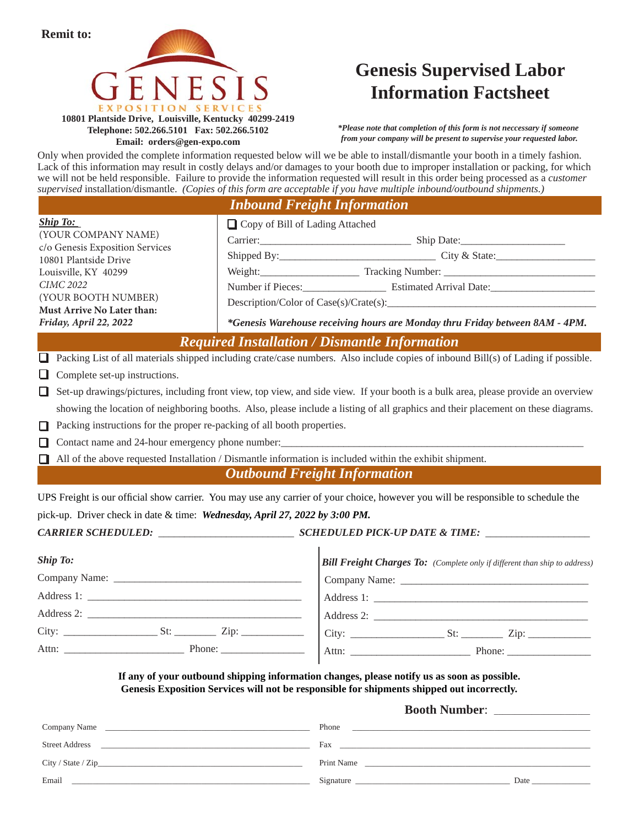

**Telephone: 502.266.5101 Fax: 502.266.5102 Email: orders@gen-expo.com**

## **Genesis Supervised Labor Information Factsheet**

*\*Please note that completion of this form is not neccessary if someone from your company will be present to supervise your requested labor.*

Only when provided the complete information requested below will we be able to install/dismantle your booth in a timely fashion. Lack of this information may result in costly delays and/or damages to your booth due to improper installation or packing, for which we will not be held responsible. Failure to provide the information requested will result in this order being processed as a *customer supervised* installation/dismantle. *(Copies of this form are acceptable if you have multiple inbound/outbound shipments.)*

|  | <b>Inbound Freight Information</b> |  |
|--|------------------------------------|--|
|  |                                    |  |

| <b>Ship To:</b>                                                              | Copy of Bill of Lading Attached                                                                                                                                                           |
|------------------------------------------------------------------------------|-------------------------------------------------------------------------------------------------------------------------------------------------------------------------------------------|
| (YOUR COMPANY NAME)                                                          |                                                                                                                                                                                           |
| c/o Genesis Exposition Services<br>10801 Plantside Drive                     |                                                                                                                                                                                           |
| Louisville, KY 40299                                                         | Weight: Tracking Number:                                                                                                                                                                  |
| <b>CIMC 2022</b>                                                             |                                                                                                                                                                                           |
| (YOUR BOOTH NUMBER)<br>Must Arrive No Later than:                            |                                                                                                                                                                                           |
| Friday, April 22, 2022                                                       | *Genesis Warehouse receiving hours are Monday thru Friday between 8AM - 4PM.                                                                                                              |
|                                                                              | <b>Required Installation / Dismantle Information</b>                                                                                                                                      |
| $\Box$                                                                       | Packing List of all materials shipped including crate/case numbers. Also include copies of inbound Bill(s) of Lading if possible.                                                         |
| Complete set-up instructions.<br>u                                           |                                                                                                                                                                                           |
| 0                                                                            | Set-up drawings/pictures, including front view, top view, and side view. If your booth is a bulk area, please provide an overview                                                         |
|                                                                              | showing the location of neighboring booths. Also, please include a listing of all graphics and their placement on these diagrams.                                                         |
| Packing instructions for the proper re-packing of all booth properties.<br>П |                                                                                                                                                                                           |
| ப                                                                            |                                                                                                                                                                                           |
| □                                                                            | All of the above requested Installation / Dismantle information is included within the exhibit shipment.                                                                                  |
|                                                                              | <b>Outbound Freight Information</b>                                                                                                                                                       |
|                                                                              | UPS Freight is our official show carrier. You may use any carrier of your choice, however you will be responsible to schedule the                                                         |
| pick-up. Driver check in date & time: Wednesday, April 27, 2022 by 3:00 PM.  |                                                                                                                                                                                           |
|                                                                              |                                                                                                                                                                                           |
| <b>Ship To:</b>                                                              | <b>Bill Freight Charges To:</b> (Complete only if different than ship to address)                                                                                                         |
|                                                                              |                                                                                                                                                                                           |
|                                                                              | Address 1:                                                                                                                                                                                |
|                                                                              |                                                                                                                                                                                           |
|                                                                              |                                                                                                                                                                                           |
|                                                                              |                                                                                                                                                                                           |
|                                                                              | If any of your outbound shipping information changes, please notify us as soon as possible.<br>Genesis Exposition Services will not be responsible for shipments shipped out incorrectly. |

Company Name \_\_\_\_\_\_\_\_\_\_\_\_\_\_\_\_\_\_\_\_\_\_\_\_\_\_\_\_\_\_\_\_\_\_\_\_\_\_\_\_\_\_\_\_\_\_\_\_\_ Phone \_\_\_\_\_\_\_\_\_\_\_\_\_\_\_\_\_\_\_\_\_\_\_\_\_\_\_\_\_\_\_\_\_\_\_\_\_\_\_\_\_\_\_\_\_\_\_\_\_\_\_\_\_\_\_\_\_ Street Address \_\_\_\_\_\_\_\_\_\_\_\_\_\_\_\_\_\_\_\_\_\_\_\_\_\_\_\_\_\_\_\_\_\_\_\_\_\_\_\_\_\_\_\_\_\_\_\_\_\_ Fax \_\_\_\_\_\_\_\_\_\_\_\_\_\_\_\_\_\_\_\_\_\_\_\_\_\_\_\_\_\_\_\_\_\_\_\_\_\_\_\_\_\_\_\_\_\_\_\_\_\_\_\_\_\_\_\_\_\_\_\_ City / State / Zip\_\_\_\_\_\_\_\_\_\_\_\_\_\_\_\_\_\_\_\_\_\_\_\_\_\_\_\_\_\_\_\_\_\_\_\_\_\_\_\_\_\_\_\_\_\_\_\_\_ Print Name \_\_\_\_\_\_\_\_\_\_\_\_\_\_\_\_\_\_\_\_\_\_\_\_\_\_\_\_\_\_\_\_\_\_\_\_\_\_\_\_\_\_\_\_\_\_\_\_\_\_\_\_\_\_ Email \_\_\_\_\_\_\_\_\_\_\_\_\_\_\_\_\_\_\_\_\_\_\_\_\_\_\_\_\_\_\_\_\_\_\_\_\_\_\_\_\_\_\_\_\_\_\_\_\_\_\_\_\_\_\_\_\_ Signature \_\_\_\_\_\_\_\_\_\_\_\_\_\_\_\_\_\_\_\_\_\_\_\_\_\_\_\_\_\_\_\_\_\_\_\_\_ Date \_\_\_\_\_\_\_\_\_\_\_\_\_\_ **Booth Number**: \_\_\_\_\_\_\_\_\_\_\_\_\_\_\_\_\_\_\_\_\_\_\_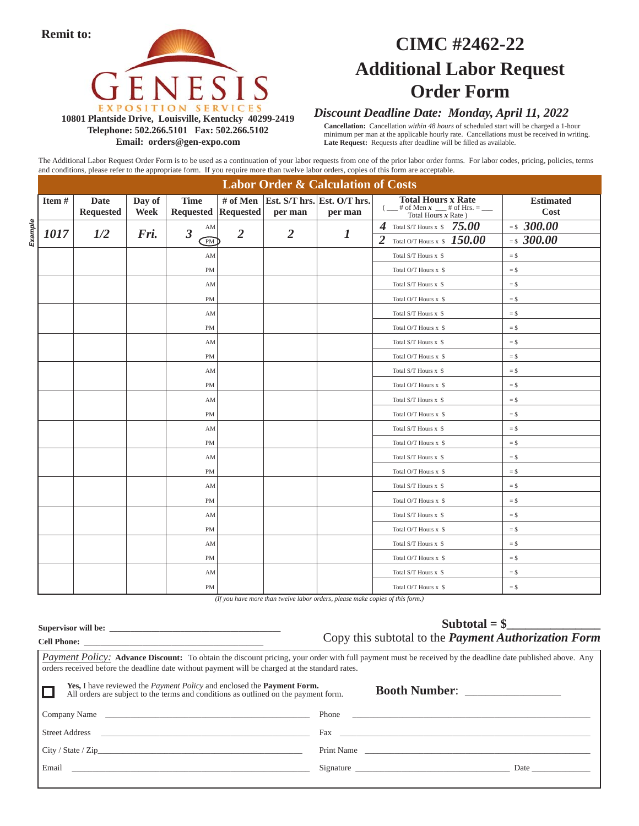**Remit to:**



## **CIMC #2462-22 Additional Labor Request Order Form**

#### **10801 Plantside Drive, Louisville, Kentucky 40299-2419 Telephone: 502.266.5101 Fax: 502.266.5102 Email: orders@gen-expo.com**

#### *Discount Deadline Date: Monday, April 11, 2022*

**Cancellation:** Cancellation *within 48 hours* of scheduled start will be charged a 1-hour minimum per man at the applicable hourly rate. Cancellations must be received in writing. Late Request: Requests after deadline will be filled as available.

The Additional Labor Request Order Form is to be used as a continuation of your labor requests from one of the prior labor order forms. For labor codes, pricing, policies, terms and conditions, please refer to the appropriate form. If you require more than twelve labor orders, copies of this form are acceptable.

|                 |                  |             |                      |                |                | <b>Labor Order &amp; Calculation of Costs</b> |                                                                  |                  |
|-----------------|------------------|-------------|----------------------|----------------|----------------|-----------------------------------------------|------------------------------------------------------------------|------------------|
| Item #          | <b>Date</b>      | Day of      | <b>Time</b>          | # of Men       |                | Est. S/T hrs. Est. O/T hrs.                   | <b>Total Hours x Rate</b>                                        | <b>Estimated</b> |
|                 | <b>Requested</b> | <b>Week</b> | Requested Requested  |                | per man        | per man                                       | $\frac{1}{x}$ of Men $x =$ $\frac{1}{x}$ of Hrs. = $\frac{1}{x}$ | Cost             |
| Example<br>1017 | 1/2              | Fri.        | AM<br>$\overline{3}$ | $\overline{2}$ | $\overline{2}$ | 1                                             | Total S/T Hours x $$75.00$<br>4                                  | $= $300.00$      |
|                 |                  |             | PM                   |                |                |                                               | Total O/T Hours x $$150.00$<br>$\overline{2}$                    | $= $300.00$      |
|                 |                  |             | AM                   |                |                |                                               | Total S/T Hours x \$                                             | $=$ \$           |
|                 |                  |             | <b>PM</b>            |                |                |                                               | Total O/T Hours x \$                                             | $=$ \$           |
|                 |                  |             | AM                   |                |                |                                               | Total S/T Hours x \$                                             | $=$ \$           |
|                 |                  |             | <b>PM</b>            |                |                |                                               | Total O/T Hours x \$                                             | $=$ \$           |
|                 |                  |             | AM                   |                |                |                                               | Total S/T Hours x \$                                             | $=$ \$           |
|                 |                  |             | <b>PM</b>            |                |                |                                               | Total O/T Hours x \$                                             | $=$ \$           |
|                 |                  |             | AM                   |                |                |                                               | Total S/T Hours x \$                                             | $=$ \$           |
|                 |                  |             | PM                   |                |                |                                               | Total O/T Hours x \$                                             | $=$ \$           |
|                 |                  |             | AM                   |                |                |                                               | Total S/T Hours x \$                                             | $=$ \$           |
|                 |                  |             | <b>PM</b>            |                |                |                                               | Total O/T Hours x \$                                             | $=$ \$           |
|                 |                  |             | AM                   |                |                |                                               | Total S/T Hours x \$                                             | $=$ \$           |
|                 |                  |             | <b>PM</b>            |                |                |                                               | Total O/T Hours x \$                                             | $=$ \$           |
|                 |                  |             | AM                   |                |                |                                               | Total S/T Hours x \$                                             | $=$ \$           |
|                 |                  |             | <b>PM</b>            |                |                |                                               | Total O/T Hours x \$                                             | $=$ \$           |
|                 |                  |             | AM                   |                |                |                                               | Total S/T Hours x \$                                             | $=$ \$           |
|                 |                  |             | <b>PM</b>            |                |                |                                               | Total O/T Hours x \$                                             | $=$ \$           |
|                 |                  |             | AM                   |                |                |                                               | Total S/T Hours x \$                                             | $=$ \$           |
|                 |                  |             | <b>PM</b>            |                |                |                                               | Total O/T Hours x \$                                             | $=$ \$           |
|                 |                  |             | AM                   |                |                |                                               | Total S/T Hours x \$                                             | $=$ \$           |
|                 |                  |             | PM                   |                |                |                                               | Total O/T Hours x \$                                             | $=$ \$           |
|                 |                  |             | AM                   |                |                |                                               | Total S/T Hours x \$                                             | $=$ \$           |
|                 |                  |             | <b>PM</b>            |                |                |                                               | Total O/T Hours x \$                                             | $=$ \$           |
|                 |                  |             | AM                   |                |                |                                               | Total S/T Hours x \$                                             | $=$ \$           |
|                 |                  |             | <b>PM</b>            |                |                |                                               | Total O/T Hours x \$                                             | $=$ \$           |

*(If you have more than twelve labor orders, please make copies of this form.)* 

|                                                                                                                                                                                    | $Subtotal = $$<br>Copy this subtotal to the <i>Payment Authorization Form</i>                                                                                                                                                              |
|------------------------------------------------------------------------------------------------------------------------------------------------------------------------------------|--------------------------------------------------------------------------------------------------------------------------------------------------------------------------------------------------------------------------------------------|
| orders received before the deadline date without payment will be charged at the standard rates.                                                                                    | <b>Payment Policy:</b> Advance Discount: To obtain the discount pricing, your order with full payment must be received by the deadline date published above. Any                                                                           |
| <b>Yes, I</b> have reviewed the <i>Payment Policy</i> and enclosed the <b>Payment Form.</b><br>All orders are subject to the terms and conditions as outlined on the payment form. | Booth Number:                                                                                                                                                                                                                              |
| Company Name                                                                                                                                                                       |                                                                                                                                                                                                                                            |
|                                                                                                                                                                                    | Fax and the contract of the contract of the contract of the contract of the contract of the contract of the contract of the contract of the contract of the contract of the contract of the contract of the contract of the co             |
| City / State / Zip                                                                                                                                                                 | Print Name                                                                                                                                                                                                                                 |
|                                                                                                                                                                                    | Signature<br>Date and the same state of the state of the state of the state of the state of the state of the state of the state of the state of the state of the state of the state of the state of the state of the state of the state of |
|                                                                                                                                                                                    |                                                                                                                                                                                                                                            |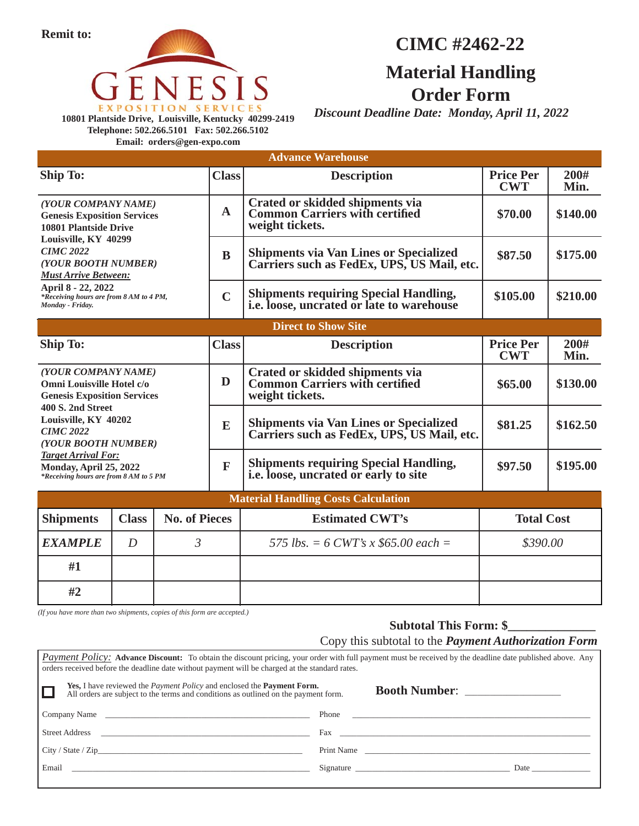

**Telephone: 502.266.5101 Fax: 502.266.5102 Email: orders@gen-expo.com**

## **CIMC #2462-22**

## **Material Handling Order Form**

*Discount Deadline Date: Monday, April 11, 2022*

**Price Per CWT Ship To: Class Advance Warehouse 200# Min. Description Direct to Show Site Price Per CWT Ship To: Class 200# 200 200 200 Description** Price Per 200# *(YOUR COMPANY NAME)* **Genesis Exposition Services 10801 Plantside Drive Louisville, KY 40299** *CIMC 2022 (YOUR BOOTH NUMBER) Must Arrive Between:* **April 8 - 22, 2022** *\*Receiving hours are from 8 AM to 4 PM, Monday - Friday.* **A B C Crated or skidded shipments via Common Carriers with certified weight tickets. \$70.00 \$140.00** *(YOUR COMPANY NAME)* **Omni Louisville Hotel c/o Genesis Exposition Services 400 S. 2nd Street Louisville, KY 40202** *CIMC 2022 (YOUR BOOTH NUMBER) Target Arrival For:* **Monday, April 25, 2022** *\*Receiving hours are from 8 AM to 5 PM* **Shipments via Van Lines or Specialized Carriers such as FedEx, UPS, US Mail, etc. Shipments requiring Special Handling, i.e. loose, uncrated or late to warehouse \$87.50 \$175.00 \$105.00 \$210.00 D E F Crated or skidded shipments via Common Carriers with certified weight tickets. \$65.00 \$130.00 Shipments via Van Lines or Specialized Carriers such as FedEx, UPS, US Mail, etc. Shipments requiring Special Handling, i.e. loose, uncrated or early to site \$81.25 \$162.50 \$97.50 \$195.00 Material Handling Costs Calculation Shipments Class No. of Pieces Estimated CWT's Total Cost** *EXAMPLE* | *D* | 3 | 575 lbs. = 6 CWT's x \$65.00 each = \$390.00 **#1 #2**

*(If you have more than two shipments, copies of this form are accepted.)*

### Subtotal This Form: \$ Copy this subtotal to the *Payment Authorization Form*

| <i>Payment Policy:</i> Advance Discount: To obtain the discount pricing, your order with full payment must be received by the deadline date published above. Any<br>orders received before the deadline date without payment will be charged at the standard rates. |       |                                                                                                                                                                                                                                |             |
|---------------------------------------------------------------------------------------------------------------------------------------------------------------------------------------------------------------------------------------------------------------------|-------|--------------------------------------------------------------------------------------------------------------------------------------------------------------------------------------------------------------------------------|-------------|
| <b>Yes, I</b> have reviewed the <i>Payment Policy</i> and enclosed the <b>Payment Form.</b><br>All orders are subject to the terms and conditions as outlined on the payment form.                                                                                  |       |                                                                                                                                                                                                                                |             |
| Company Name                                                                                                                                                                                                                                                        | Phone | <u> 1980 - John Stein, Amerikaansk politiker (* 1950)</u>                                                                                                                                                                      |             |
|                                                                                                                                                                                                                                                                     |       | Fax and the set of the set of the set of the set of the set of the set of the set of the set of the set of the                                                                                                                 |             |
|                                                                                                                                                                                                                                                                     |       | Print Name                                                                                                                                                                                                                     |             |
| Email and the contract of the contract of the contract of the contract of the contract of the contract of the contract of the contract of the contract of the contract of the contract of the contract of the contract of the                                       |       | Signature experience and the set of the set of the set of the set of the set of the set of the set of the set of the set of the set of the set of the set of the set of the set of the set of the set of the set of the set of | <b>Date</b> |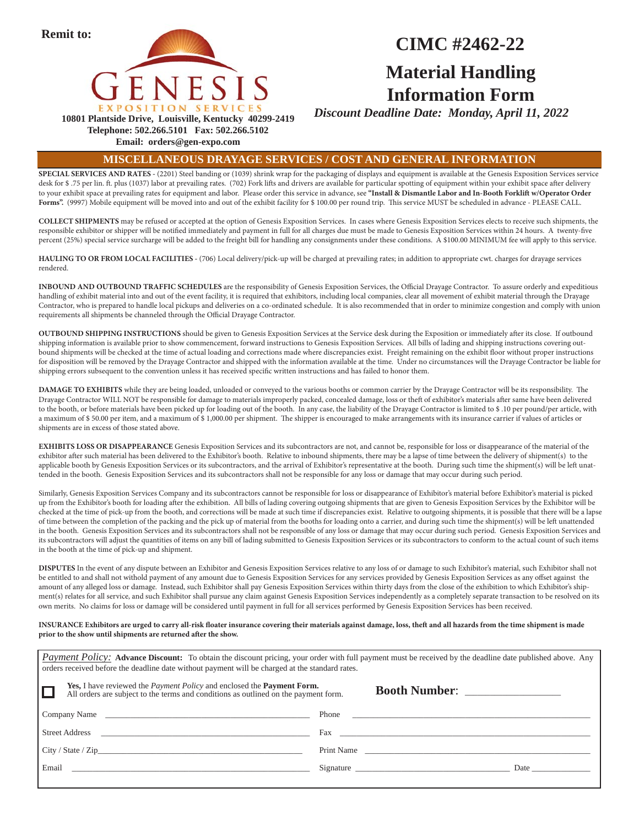

## **CIMC #2462-22 Material Handling Information Form**

*Discount Deadline Date: Monday, April 11, 2022*

**Telephone: 502.266.5101 Fax: 502.266.5102**

**Email: orders@gen-expo.com**

#### **MISCELLANEOUS DRAYAGE SERVICES / COST AND GENERAL INFORMATION**

**SPECIAL SERVICES AND RATES -** (2201) Steel banding or (1039) shrink wrap for the packaging of displays and equipment is available at the Genesis Exposition Services service desk for \$.75 per lin. ft. plus (1037) labor at prevailing rates. (702) Fork lifts and drivers are available for particular spotting of equipment within your exhibit space after delivery to your exhibit space at prevailing rates for equipment and labor. Please order this service in advance, see **"Install & Dismantle Labor and In-Booth Forklift w/Operator Order**  Forms". (9997) Mobile equipment will be moved into and out of the exhibit facility for \$100.00 per round trip. This service MUST be scheduled in advance - PLEASE CALL.

**COLLECT SHIPMENTS** may be refused or accepted at the option of Genesis Exposition Services. In cases where Genesis Exposition Services elects to receive such shipments, the responsible exhibitor or shipper will be notified immediately and payment in full for all charges due must be made to Genesis Exposition Services within 24 hours. A twenty-five percent (25%) special service surcharge will be added to the freight bill for handling any consignments under these conditions. A \$100.00 MINIMUM fee will apply to this service.

**HAULING TO OR FROM LOCAL FACILITIES -** (706) Local delivery/pick-up will be charged at prevailing rates; in addition to appropriate cwt. charges for drayage services rendered.

**INBOUND AND OUTBOUND TRAFFIC SCHEDULES** are the responsibility of Genesis Exposition Services, the Official Drayage Contractor. To assure orderly and expeditious handling of exhibit material into and out of the event facility, it is required that exhibitors, including local companies, clear all movement of exhibit material through the Drayage Contractor, who is prepared to handle local pickups and deliveries on a co-ordinated schedule. It is also recommended that in order to minimize congestion and comply with union requirements all shipments be channeled through the Official Drayage Contractor.

**OUTBOUND SHIPPING INSTRUCTIONS** should be given to Genesis Exposition Services at the Service desk during the Exposition or immediately after its close. If outbound shipping information is available prior to show commencement, forward instructions to Genesis Exposition Services. All bills of lading and shipping instructions covering outbound shipments will be checked at the time of actual loading and corrections made where discrepancies exist. Freight remaining on the exhibit floor without proper instructions for disposition will be removed by the Drayage Contractor and shipped with the information available at the time. Under no circumstances will the Drayage Contractor be liable for shipping errors subsequent to the convention unless it has received specific written instructions and has failed to honor them.

DAMAGE TO EXHIBITS while they are being loaded, unloaded or conveyed to the various booths or common carrier by the Drayage Contractor will be its responsibility. The Drayage Contractor WILL NOT be responsible for damage to materials improperly packed, concealed damage, loss or theft of exhibitor's materials after same have been delivered to the booth, or before materials have been picked up for loading out of the booth. In any case, the liability of the Drayage Contractor is limited to \$.10 per pound/per article, with a maximum of \$ 50.00 per item, and a maximum of \$ 1,000.00 per shipment. The shipper is encouraged to make arrangements with its insurance carrier if values of articles or shipments are in excess of those stated above.

**EXHIBITS LOSS OR DISAPPEARANCE** Genesis Exposition Services and its subcontractors are not, and cannot be, responsible for loss or disappearance of the material of the exhibitor after such material has been delivered to the Exhibitor's booth. Relative to inbound shipments, there may be a lapse of time between the delivery of shipment(s) to the applicable booth by Genesis Exposition Services or its subcontractors, and the arrival of Exhibitor's representative at the booth. During such time the shipment(s) will be left unattended in the booth. Genesis Exposition Services and its subcontractors shall not be responsible for any loss or damage that may occur during such period.

Similarly, Genesis Exposition Services Company and its subcontractors cannot be responsible for loss or disappearance of Exhibitor's material before Exhibitor's material is picked up from the Exhibitor's booth for loading after the exhibition. All bills of lading covering outgoing shipments that are given to Genesis Exposition Services by the Exhibitor will be checked at the time of pick-up from the booth, and corrections will be made at such time if discrepancies exist. Relative to outgoing shipments, it is possible that there will be a lapse of time between the completion of the packing and the pick up of material from the booths for loading onto a carrier, and during such time the shipment(s) will be left unattended in the booth. Genesis Exposition Services and its subcontractors shall not be responsible of any loss or damage that may occur during such period. Genesis Exposition Services and its subcontractors will adjust the quantities of items on any bill of lading submitted to Genesis Exposition Services or its subcontractors to conform to the actual count of such items in the booth at the time of pick-up and shipment.

**DISPUTES** In the event of any dispute between an Exhibitor and Genesis Exposition Services relative to any loss of or damage to such Exhibitor's material, such Exhibitor shall not be entitled to and shall not withold payment of any amount due to Genesis Exposition Services for any services provided by Genesis Exposition Services as any offset against the amount of any alleged loss or damage. Instead, such Exhibitor shall pay Genesis Exposition Services within thirty days from the close of the exhibition to which Exhibitor's shipment(s) relates for all service, and such Exhibitor shall pursue any claim against Genesis Exposition Services independently as a completely separate transaction to be resolved on its own merits. No claims for loss or damage will be considered until payment in full for all services performed by Genesis Exposition Services has been received.

INSURANCE Exhibitors are urged to carry all-risk floater insurance covering their materials against damage, loss, theft and all hazards from the time shipment is made prior to the show until shipments are returned after the show.

| orders received before the deadline date without payment will be charged at the standard rates.                                                                                    | Payment Policy: Advance Discount: To obtain the discount pricing, your order with full payment must be received by the deadline date published above. Any                                                                      |
|------------------------------------------------------------------------------------------------------------------------------------------------------------------------------------|--------------------------------------------------------------------------------------------------------------------------------------------------------------------------------------------------------------------------------|
| <b>Yes, I</b> have reviewed the <i>Payment Policy</i> and enclosed the <b>Payment Form.</b><br>All orders are subject to the terms and conditions as outlined on the payment form. | Booth Number:                                                                                                                                                                                                                  |
| Company Name                                                                                                                                                                       | Phone<br><u> 1980 - John Harry Harry Harry Harry Harry Harry Harry Harry Harry Harry Harry Harry Harry Harry Harry Harry H</u>                                                                                                 |
|                                                                                                                                                                                    | Fax $\overline{\phantom{a}}$                                                                                                                                                                                                   |
| City / State / Zip                                                                                                                                                                 | Print Name and the contract of the contract of the contract of the contract of the contract of the contract of the contract of the contract of the contract of the contract of the contract of the contract of the contract of |
|                                                                                                                                                                                    | Date and the same state of the state of the state of the state of the state of the state of the state of the state of the state of the state of the state of the state of the state of the state of the state of the state of  |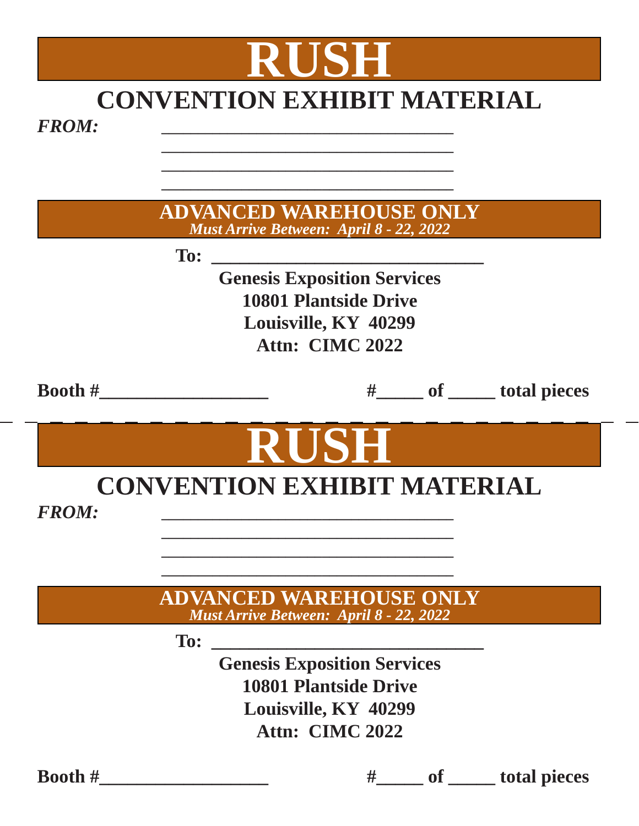# **RUSH CONVENTION EXHIBIT MATERIAL**

 **\_\_\_\_\_\_\_\_\_\_\_\_\_\_\_\_\_\_\_\_\_\_\_\_\_\_\_\_\_\_\_\_\_\_\_\_\_\_\_\_ \_\_\_\_\_\_\_\_\_\_\_\_\_\_\_\_\_\_\_\_\_\_\_\_\_\_\_\_\_\_\_\_\_\_\_\_\_\_\_\_**

|                  |            | <b>ADVANCED WAREHOUSE ONLY</b><br><b>Must Arrive Between: April 8 - 22, 2022</b> |                              |
|------------------|------------|----------------------------------------------------------------------------------|------------------------------|
|                  | To:        |                                                                                  |                              |
|                  |            | <b>Genesis Exposition Services</b>                                               |                              |
|                  |            | <b>10801 Plantside Drive</b>                                                     |                              |
|                  |            | Louisville, KY 40299                                                             |                              |
|                  |            | Attn: CIMC 2022                                                                  |                              |
| <b>Booth</b> $#$ |            |                                                                                  | #_____ of _____ total pieces |
|                  |            | IRUSEI<br><b>CONVENTION EXHIBIT MATERIAL</b>                                     |                              |
| <b>FROM:</b>     |            |                                                                                  |                              |
|                  |            |                                                                                  |                              |
|                  |            | <b>ADVANCED WAREHOUSE ONLY</b>                                                   |                              |
|                  |            | Must Arrive Between: April 8 - 22, 2022                                          |                              |
|                  | <b>To:</b> |                                                                                  |                              |
|                  |            | <b>Genesis Exposition Services</b>                                               |                              |
|                  |            | <b>10801 Plantside Drive</b>                                                     |                              |
|                  |            | Louisville, KY 40299                                                             |                              |
|                  |            | Attn: CIMC 2022                                                                  |                              |

 **Booth #\_\_\_\_\_\_\_\_\_\_\_\_\_\_\_\_\_\_ #\_\_\_\_\_ of \_\_\_\_\_ total pieces**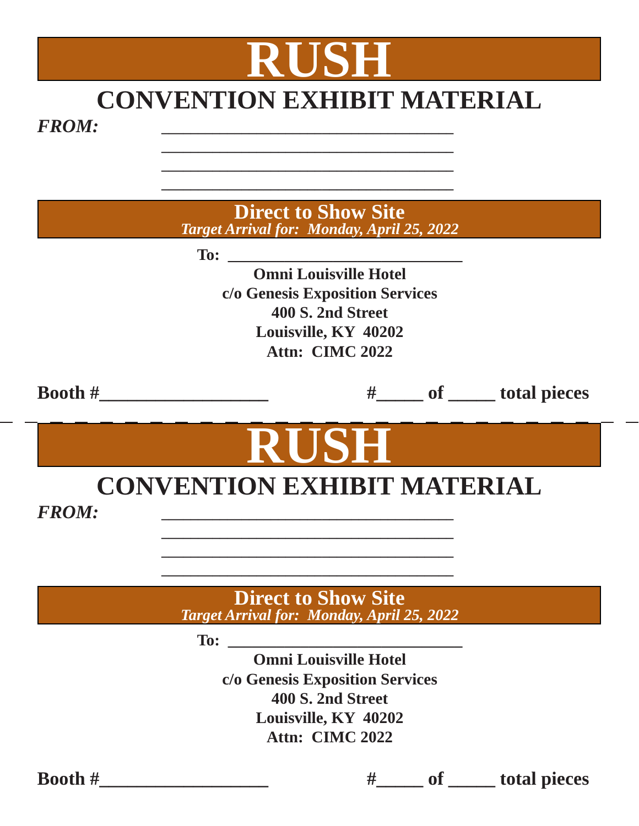# **CONVENTION EXHIBIT MATERIAL**

 **\_\_\_\_\_\_\_\_\_\_\_\_\_\_\_\_\_\_\_\_\_\_\_\_\_\_\_\_\_\_\_\_\_\_\_\_\_\_\_\_ \_\_\_\_\_\_\_\_\_\_\_\_\_\_\_\_\_\_\_\_\_\_\_\_\_\_\_\_\_\_\_\_\_\_\_\_\_\_\_\_**

**RUSH**

 **\_\_\_\_\_\_\_\_\_\_\_\_\_\_\_\_\_\_\_\_\_\_\_\_\_\_\_\_\_\_\_\_\_\_\_\_\_\_\_\_ To:**  $\blacksquare$ **Omni Louisville Hotel c/o Genesis Exposition Services 400 S. 2nd Street Louisville, KY 40202 Attn: CIMC 2022 Booth #\_\_\_\_\_\_\_\_\_\_\_\_\_\_\_\_\_\_ #\_\_\_\_\_ of \_\_\_\_\_ total pieces Direct to Show Site**  *Target Arrival for: Monday, April 25, 2022* **RUSH CONVENTION EXHIBIT MATERIAL \_\_\_\_\_\_\_\_\_\_\_\_\_\_\_\_\_\_\_\_\_\_\_\_\_\_\_\_\_\_\_\_\_\_\_\_\_\_\_\_ \_\_\_\_\_\_\_\_\_\_\_\_\_\_\_\_\_\_\_\_\_\_\_\_\_\_\_\_\_\_\_\_\_\_\_\_\_\_\_\_ \_\_\_\_\_\_\_\_\_\_\_\_\_\_\_\_\_\_\_\_\_\_\_\_\_\_\_\_\_\_\_\_\_\_\_\_\_\_\_\_ To: \_\_\_\_\_\_\_\_\_\_\_\_\_\_\_\_\_\_\_\_\_\_\_\_\_\_\_\_\_ Omni Louisville Hotel c/o Genesis Exposition Services 400 S. 2nd Street Louisville, KY 40202 Direct to Show Site**  *Target Arrival for: Monday, April 25, 2022*

**Attn: CIMC 2022**

**Booth #**  $\qquad \qquad \qquad$  **b**  $\qquad \qquad$  **#**  $\qquad \qquad$  of  $\qquad \qquad$  total pieces